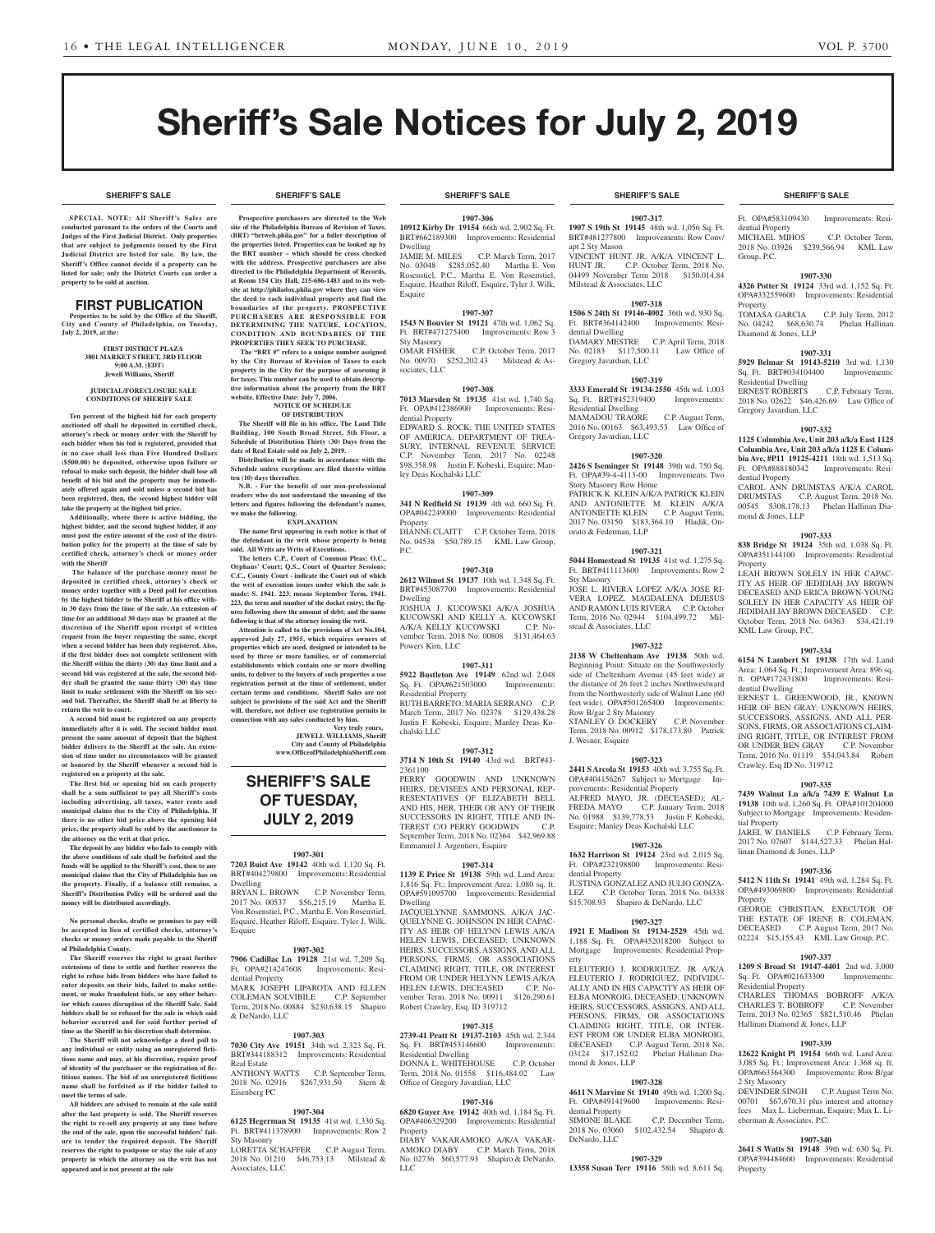**SHERIFF'S SALE SHERIFF'S SALE SHERIFF'S SALE SHERIFF'S SALE SHERIFF'S SALE**

# **Sheriff's Sale Notice for July 2, 2019**

**SPECIAL NOTE: All Sheriff 's Sales are conducted pursuant to the orders of the Courts and Judges of the First Judicial District. Only properties that are subject to judgments issued by the First Judicial District are listed for sale. By law, the Sheriff's Office cannot decide if a property can be listed for sale; only the District Courts can order a property to be sold at auction.** 

#### **FIRST PUBLICATION**

Properties to be sold by the Office of the Sheriff, **City and County of Philadelphia, on Tuesday, July 2, 2019, at the:** 

> **FIRST DISTRICT PLAZA 3801 MARKET STREET, 3RD FLOOR 9:00 A.M. (EDT) Jewell Williams, Sheriff**

#### **JUDICIAL/FORECLOSURE SALE CONDITIONS OF SHERIFF SALE**

**Ten percent of the highest bid for each property auctioned off shall be deposited in certified check, attorney's check or money order with the Sheriff by each bidder when his bid is registered, provided that in no case shall less than Five Hundred Dollars (\$500.00) be deposited, otherwise upon failure or refusal to make such deposit, the bidder shall lose all benefit of his bid and the property may be immediately offered again and sold unless a second bid has been registered, then, the second highest bidder will take the property at the highest bid price.**

**Additionally, where there is active bidding, the highest bidder, and the second highest bidder, if any must post the entire amount of the cost of the distribution policy for the property at the time of sale by certified check, attorney's check or money order with the Sheriff**

 **The balance of the purchase money must be deposited in certified check, attorney's check or money order together with a Deed poll for execution by the highest bidder to the Sheriff at his office within 30 days from the time of the sale. An extension of time for an additional 30 days may be granted at the discretion of the Sheriff upon receipt of written request from the buyer requesting the same, except when a second bidder has been duly registered. Also, if the first bidder does not complete settlement with the Sheriff within the thirty (30) day time limit and a second bid was registered at the sale, the second bidder shall be granted the same thirty (30) day time limit to make settlement with the Sheriff on his second bid. Thereafter, the Sheriff shall be at liberty to return the writ to court.**

**A second bid must be registered on any property immediately after it is sold. The second bidder must present the same amount of deposit that the highest bidder delivers to the Sheriff at the sale. An extension of time under no circumstances will be granted or honored by the Sheriff whenever a second bid is registered on a property at the sale.** 

**The first bid or opening bid on each property shall be a sum sufficient to pay all Sheriff's costs including advertising, all taxes, water rents and municipal claims due to the City of Philadelphia. If there is no other bid price above the opening bid price, the property shall be sold by the auctioneer to the attorney on the writ at that price.**

**The deposit by any bidder who fails to comply with the above conditions of sale shall be forfeited and the funds will be applied to the Sheriff's cost, then to any municipal claims that the City of Philadelphia has on the property. Finally, if a balance still remains, a Sheriff's Distribution Policy will be ordered and the money will be distributed accordingly.**

**No personal checks, drafts or promises to pay will be accepted in lieu of certified checks, attorney's checks or money orders made payable to the Sheriff of Philadelphia County.**

**The Sheriff reserves the right to grant further extensions of time to settle and further reserves the right to refuse bids from bidders who have failed to enter deposits on their bids, failed to make settlement, or make fraudulent bids, or any other behavior which causes disruption of the Sheriff Sale. Said bidders shall be so refused for the sale in which said behavior occurred and for said further period of**  time as the Sheriff in his discretion shall determi

**The Sheriff will not acknowledge a deed poll to any individual or entity using an unregistered fictitious name and may, at his discretion, require proof of identity of the purchaser or the registration of fictitious names. The bid of an unregistered fictitious name shall be forfeited as if the bidder failed to meet the terms of sale.**

**All bidders are advised to remain at the sale until after the last property is sold. The Sheriff reserves the right to re-sell any property at any time before the end of the sale, upon the successful bidders' failure to tender the required deposit. The Sheriff reserves the right to postpone or stay the sale of any property in which the attorney on the writ has not appeared and is not present at the sale**

**Prospective purchasers are directed to the Web site of the Philadelphia Bureau of Revision of Taxes, (BRT) "brtweb.phila.gov" for a fuller description of the properties listed. Properties can be looked up by the BRT number – which should be cross checked with the address. Prospective purchasers are also directed to the Philadelphia Department of Records, at Room 154 City Hall, 215-686-1483 and to its website at http://philadox.phila.gov where they can view the deed to each individual property and find the boundaries of the property. PROSPECTIVE PURCHASERS ARE RESPONSIBLE FOR DETERMINING THE NATURE, LOCATION, CONDITION AND BOUNDARIES OF THE PROPERTIES THEY SEEK TO PURCHASE. The "BRT #" refers to a unique number assigned by the City Bureau of Revision of Taxes to each property in the City for the purpose of assessing it for taxes. This number can be used to obtain descriptive information about the property from the BRT** 

**website. Effective Date: July 7, 2006.**

**ten (10) days thereafter.**

**we make the following.**

**NOTICE OF SCHEDULE OF DISTRIBUTION The Sheriff will file in his office, The Land Title Building, 100 South Broad Street, 5th Floor, a Schedule of Distribution Thirty (30) Days from the date of Real Estate sold on July 2, 2019.**

**Distribution will be made in accordance with the Schedule unless exceptions are filed thereto within** 

**EXPLANATION The name first appearing in each notice is that of the defendant in the writ whose property is being sold. All Writs are Writs of Executions.**

**The letters C.P., Court of Common Pleas; O.C., Orphans' Court; Q.S., Court of Quarter Sessions; C.C., County Court - indicate the Court out of which the writ of execution issues under which the sale is made: S. 1941. 223. means September Term, 1941. 223, the term and number of the docket entry; the figures following show the amount of debt; and the name following is that of the attorney issuing the writ. Attention is called to the provisions of Act No.104, approved July 27, 1955, which requires owners of properties which are used, designed or intended to be used by three or more families, or of commercial establishments which contain one or more dwelling units, to deliver to the buyers of such properties a use registration permit at the time of settlement, under certain terms and conditions. Sheriff Sales are not subject to provisions of the said Act and the Sheriff will, therefore, not deliver use registration permits in connection with any sales conducted by him.**

> **Very truly yours, JEWELL WILLIAMS, Sheriff City and County of Philadelphia www.OfficeofPhiladelphiaSheriff.com**

**SHERIFF'S SALE OF TUESDAY, JULY 2, 2019**

**1907-301 7203 Buist Ave 19142** 40th wd. 1,120 Sq. Ft. BRT#404279800 Improvements: Residential

BRYAN L. BROWN C.P. November Term, 2017 No. 00537 \$56,215.19 Martha E. Von Rosenstiel, P.C., Martha E. Von Rosenstiel, Esquire, Heather Riloff, Esquire, Tyler J. Wilk,

**1907-302 7906 Cadillac Ln 19128** 21st wd. 7,209 Sq. Ft. OPA#214247608 Improvements: Resi-

MARK JOSEPH LIPAROTA AND ELLEN COLEMAN SOLVIBILE C.P. September Term, 2018 No. 00884 \$230,638.15 Shapiro

**1907-303 7030 City Ave 19151** 34th wd. 2,323 Sq. Ft. BRT#344188312 Improvements: Residential

ANTHONY WATTS C.P. September Term, 2018 No. 02916 \$267,931.50 Stern &

**1907-304 6125 Hegerman St 19135** 41st wd. 1,330 Sq. Ft. BRT#411378900 Improvements: Row 2

LORETTA SCHAFFER C.P. August Term, 2018 No. 01210 \$46,753.13 Milstead &

Dwelling

Esquire

dential Property

& DeNardo, LLC

Real Estate

Eisenberg PC

Sty Masonry

Associates, LLC

N.B. - For the benefit of our non-profession **readers who do not understand the meaning of the letters and figures following the defendant's names,** 

**SHERIFF'S SALE SHERIFF'S SALE SHERIFF'S SALE SHERIFF'S SALE SHERIFF'S SALE**

#### **1907-306 10912 Kirby Dr 19154** 66th wd. 2,902 Sq. Ft. BRT#662189300 Improvements: Residential

Dwelling<br>JAMIE M. MILES C.P. March Term, 2017 No. 03048 \$285,052.40 Martha E. Von Rosenstiel, P.C., Martha E. Von Rosenstiel, Esquire, Heather Riloff, Esquire, Tyler J. Wilk, Esquire

#### **1907-307**

**1543 N Bouvier St 19121** 47th wd. 1,062 Sq. Ft. BRT#471275400 Improvements: Row 3 Sty Masonry<br>OMAR FISHER C.P. October Term, 2017 No. 00970 \$252,202.43 Milstead & Associates, LLC

#### **1907-308**

**7013 Marsden St 19135** 41st wd. 1,740 Sq. Ft. OPA#412386900 Improvements: Residential Property

EDWARD S. ROCK; THE UNITED STATES OF AMERICA, DEPARTMENT OF TREA-SURY, INTERNAL REVENUE SERVICE C.P. November Term, 2017 No. 02248 \$98,358.98 Justin F. Kobeski, Esquire; Manley Deas Kochalski LLC

#### **1907-309**

**341 N Redfield St 19139** 4th wd. 660 Sq. Ft. OPA#042249000 Improvements: Residential Property

DIANNE CLAITT C.P. October Term, 2018 No. 04538 \$50,789.15 KML Law Group, P.C.

#### **1907-310**

**2612 Wilmot St 19137** 10th wd. 1,348 Sq. Ft. BRT#453087700 Improvements: Residential Dwelling

JOSHUA J. KUCOWSKI A/K/A JOSHUA KUCOWSKI AND KELLY A. KUCOWSKI A/K/A KELLY KUCOWSKI C.P. No-A/K/A KELLY KUCOWSKI vember Term, 2018 No. 00808 \$131,464.63 Powers Kirn, LLC

### **1907-311**

**5922 Bustleton Ave 19149** 62nd wd. 2,048<br>Sq. Ft. OPA#621503000 Improvements: Sq. Ft. OPA#621503000 Residential Property RUTH BARRETO; MARIA SERRANO C.P.

March Term, 2017 No. 02378 \$129,438.28 Justin F. Kobeski, Esquire; Manley Deas Kochalski LLC

#### **1907-312 3714 N 10th St 19140** 43rd wd. BRT#43-

2361100 PERRY GOODWIN AND UNKNOWN HEIRS, DEVISEES AND PERSONAL REP-RESENTATIVES OF ELIZABETH BELL AND HIS, HER, THEIR OR ANY OF THEIR SUCCESSORS IN RIGHT, TITLE AND IN-TEREST C/O PERRY GOODWIN C.P. September Term, 2018 No. 02364 \$42,969.88 Emmanuel J. Argentieri, Esquire

#### **1907-314**

**1139 E Price St 19138** 59th wd. Land Area: 1,816 Sq. Ft.; Improvement Area: 1,080 sq. ft. OPA#591095700 Improvements: Residential Dwelling

JACQUELYNNE SAMMONS, A/K/A JAC-QUELYNNE G. JOHNSON IN HER CAPAC-ITY AS HEIR OF HELYNN LEWIS A/K/A HELEN LEWIS, DECEASED; UNKNOWN HEIRS, SUCCESSORS, ASSIGNS, AND ALL PERSONS, FIRMS, OR ASSOCIATIONS CLAIMING RIGHT, TITLE, OR INTEREST FROM OR UNDER HELYNN LEWIS A/K/A HELEN LEWIS, DECEASED C.P. November Term, 2018 No. 00911 \$126,290.61 Robert Crawley, Esq. ID 319712

### **1907-315**

**2739-41 Pratt St 19137-2103** 45th wd. 2,344 Sq. Ft. BRT#453146600 Improvements: Residential Dwelling DONNA L. WHITEHOUSE C.P. October Term, 2018 No. 01558 \$116,484.02 Law Office of Gregory Javardian, LLC

#### **1907-316**

**6820 Guyer Ave 19142** 40th wd. 1,184 Sq. Ft. OPA#406329200 Improvements: Residential Property DIABY VAKARAMOKO A/K/A VAKAR-AMOKO DIABY C.P. March Term, 2018

No. 02736 \$60,577.93 Shapiro & DeNardo, LLC

**1907-317 1907 S 19th St 19145** 48th wd. 1,056 Sq. Ft. BRT#481277800 Improvements: Row Conv/ apt 2 Sty Mason VINCENT HUNT JR. A/K/A VINCENT L. HUNT JR. C.P. October Term, 2018 No. 04499 November Term 2018 \$150,014.84 Milstead & Associates, LLC

#### **1907-318**

**1506 S 24th St 19146-4002** 36th wd. 930 Sq. Ft. BRT#364142400 Improvements: Residential Dwelling DAMARY MESTRE C.P. April Term, 2018 No. 02183 \$117,500.11 Law Office of Gregory Javardian, LLC

#### **1907-319**

**3333 Emerald St 19134-2550** 45th wd. 1,003 Sq. Ft. BRT#452319400 Improvements: Residential Dwelling MAMADOU TRAORE C.P. August Term, 2016 No. 00163 \$63,493.53 Law Office of Gregory Javardian, LLC

**1907-320 2426 S Iseminger St 19148** 39th wd. 750 Sq. Ft. OPA#39-4-4113-00 Improvements: Two Story Masonry Row Home PATRICK K. KLEIN A/K/A PATRICK KLEIN AND ANTONIETTE M. KLEIN A/K/A ANTONIETTE KLEIN C.P. August Term, 2017 No. 03150 \$183,364.10 Hladik, Onorato & Federman, LLP

#### **1907-321**

**5044 Homestead St 19135** 41st wd. 1,275 Sq. Ft. BRT#411113600 Improvements: Row 2 Sty Masonry

JOSE L. RIVERA LOPEZ A/K/A JOSE RI-VERA LOPEZ, MAGDALENA DEJESUS AND RAMON LUIS RIVERA C.P. October Term, 2016 No. 02944 \$104,499.72 Milstead & Associates, LLC

#### **1907-322**

**2138 W Cheltenham Ave 19138** 50th wd. Beginning Point: Situate on the Southwesterly side of Cheltenham Avenue (45 feet wide) at the distance of 26 feet 2 inches Northwestward from the Northwesterly side of Walnut Lane (60 feet wide). OPA#501265400 Improvements:

Row B/gar 2 Sty Masonry STANLEY O. DOCKERY C.P. November Term, 2018 No. 00912 \$178,173.80 Patrick J. Wesner, Esquire

#### **1907-323**

**2441 S Arcola St 19153** 40th wd. 3,755 Sq. Ft. OPA#404156267 Subject to Mortgage Improvements: Residential Property ALFRED MAYO, JR. (DECEASED); AL-<br>FREDA MAYO C.P. January Term, 2018 C.P. January Term, 2018 No. 01988 \$139,778.53 Justin F. Kobeski, Esquire; Manley Deas Kochalski LLC

### **1907-326**

**1632 Harrison St 19124** 23rd wd. 2,015 Sq. Ft. OPA#232198800 Improvements: Residential Property

JUSTINA GONZALEZ AND JULIO GONZA-LEZ C.P. October Term, 2018 No. 04338 \$15,708.93 Shapiro & DeNardo, LLC

# **1907-327**

**1921 E Madison St 19134-2529** 45th wd. 1,188 Sq. Ft. OPA#452018200 Subject to Mortgage Improvements: Residential Property

ELEUTERIO J. RODRIGUEZ, JR A/K/A ELEUTERIO J. RODRIGUEZ, INDIVIDU-ALLY AND IN HIS CAPACITY AS HEIR OF ELBA MONROIG, DECEASED; UNKNOWN HEIRS, SUCCESSORS, ASSIGNS, AND ALL PERSONS, FIRMS, OR ASSOCIATIONS CLAIMING RIGHT, TITLE, OR INTER-EST FROM OR UNDER ELBA MONROIG, DECEASED C.P. August Term, 2018 No. 03124 \$17,152.02 Phelan Hallinan Diamond & Jones, LLP

#### **1907-328**

**4611 N Marvine St 19140** 49th wd. 1,200 Sq. Ft. OPA#491419600 Improvements: Residential Property<br>SIMONE BLAKE C.P. December Term, 2018 No. 03060 \$102,432.54 Shapiro &

# DeNardo, LLC

**1907-329 13358 Susan Terr 19116** 58th wd. 8,611 Sq.

Ft. OPA#583109430 Improvements: Residential Property<br>MICHAEL MIHOS C.P. October Term, 2018 No. 03926 \$239,566.94 KML Law Group, P.C.

#### **1907-330**

**4326 Potter St 19124** 33rd wd. 1,152 Sq. Ft. OPA#332559600 Improvements: Residential Property<br>TOMASA GARCIA

C.P. July Term, 2012 No. 04242 \$68,630.74 Phelan Hallinan Diamond & Jones, LLP

#### **1907-331**

**5929 Belmar St 19143-5210** 3rd wd. 1,130 Sq. Ft. BRT#034104400 Residential Dwelling<br>ERNEST ROBERTS

C.P. February Term, 2018 No. 02622 \$46,426.69 Law Office of Gregory Javardian, LLC

#### **1907-332**

**1125 Columbia Ave, Unit 203 a/k/a East 1125 Columbia Ave, Unit 203 a/k/a 1125 E Columbia Ave, #P11 19125-4211** 18th wd. 1,513 Sq. Ft. OPA#888180342 Improvements: Residential Property

CAROL ANN DRUMSTAS A/K/A CAROL DRUMSTAS C.P. August Term, 2018 No. 00545 \$308,178.13 Phelan Hallinan Diamond & Jones, LLP

#### **1907-333**

**838 Bridge St 19124** 35th wd. 1,038 Sq. Ft. OPA#351144100 Improvements: Residential Property

LEAH BROWN SOLELY IN HER CAPAC-ITY AS HEIR OF JEDIDIAH JAY BROWN DECEASED AND ERICA BROWN-YOUNG SOLELY IN HER CAPACITY AS HEIR OF JEDIDIAH JAY BROWN DECEASED C.P. October Term, 2018 No. 04363 \$34,421.19 KML Law Group, P.C.

#### **1907-334**

**6154 N Lambert St 19138** 17th wd. Land Area: 1,064 Sq. Ft.; Improvement Area: 896 sq. ft. OPA#172431800 Improvements: Residential Dwelling

ERNEST L. GREENWOOD, JR., KNOWN HEIR OF BEN GRAY; UNKNOWN HEIRS, SUCCESSORS, ASSIGNS, AND ALL PER-SONS, FIRMS, OR ASSOCIATIONS CLAIM-ING RIGHT, TITLE, OR INTEREST FROM OR UNDER BEN GRAY C.P. November Term, 2016 No. 01119 \$54,043.84 Robert Crawley, Esq ID No. 319712

#### **1907-335**

**7439 Walnut Ln a/k/a 7439 E Walnut Ln 19138** 10th wd. 1,260 Sq. Ft. OPA#101204000 Subject to Mortgage Improvements: Residential Property

JAREL W. DANIELS C.P. February Term, 2017 No. 07607 \$144,527.33 Phelan Hallinan Diamond & Jones, LLP

#### **1907-336**

**5412 N 11th St 19141** 49th wd. 1,284 Sq. Ft. OPA#493069800 Improvements: Residential Property

GEORGE CHRISTIAN, EXECUTOR OF THE ESTATE OF IRENE B. COLEMAN, DECEASED C.P. August Term, 2017 No. 02224 \$15,155.43 KML Law Group, P.C.

#### **1907-337**

**1209 S Broad St 19147-4401** 2nd wd. 3,000 Sq. Ft. OPA#021633300 Improvements: Residential Property

CHARLES THOMAS BOBROFF A/K/A CHARLES T. BOBROFF Term, 2013 No. 02365 \$821,510.46 Phelan Hallinan Diamond & Jones, LLP

**1907-339 12622 Knight Pl 19154** 66th wd. Land Area: 3,085 Sq. Ft.; Improvement Area: 1,368 sq. ft. OPA#663364300 Improvements: Row B/gar

DEVINDER SINGH C.P. August Term No. 00701 \$67,670.31 plus interest and attorney fees Max L. Lieberman, Esquire; Max L. Li-

**1907-340 2641 S Watts St 19148** 39th wd. 630 Sq. Ft. OPA#394484600 Improvements: Residential

2 Sty Masonry

Property

eberman & Associates, P.C.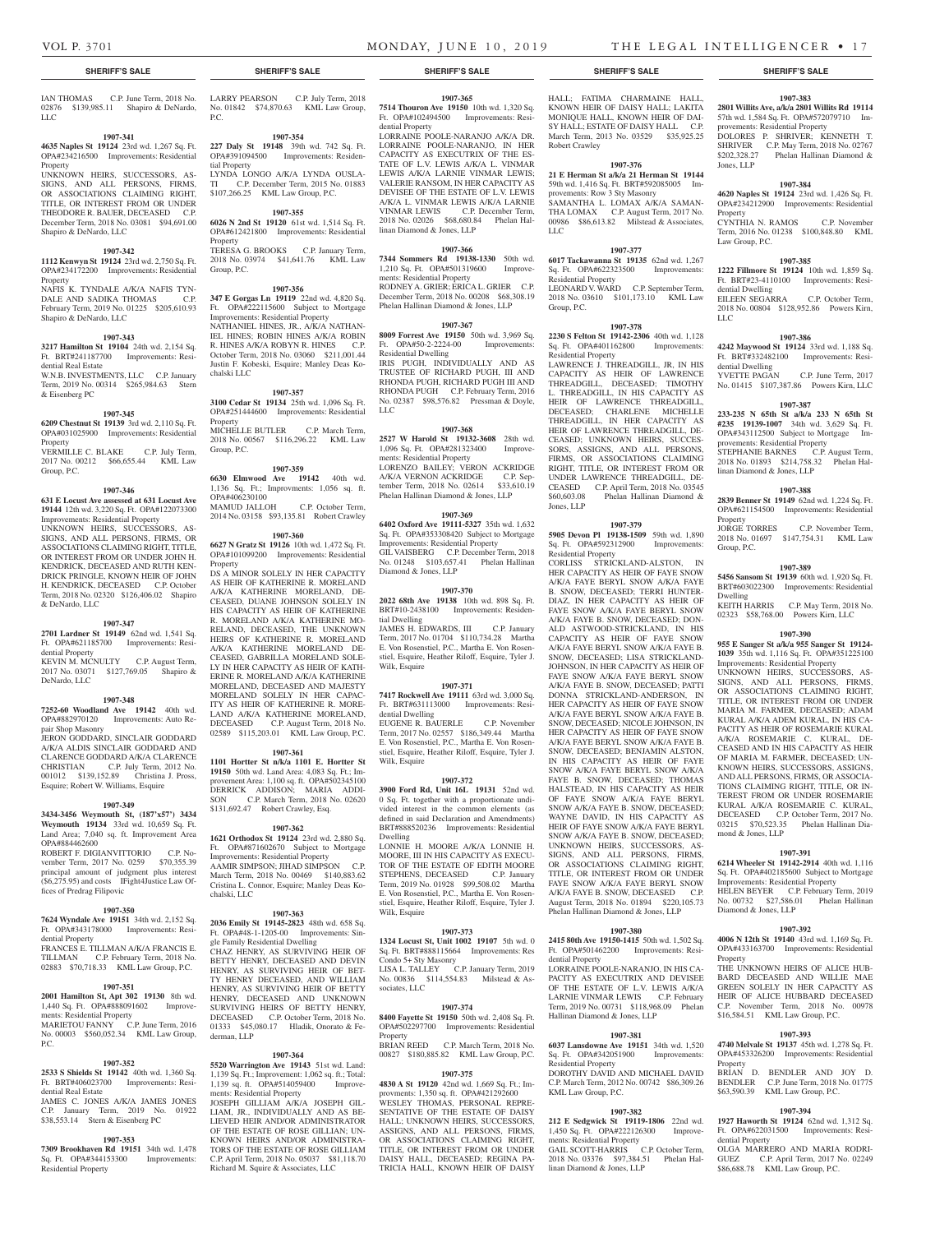### VOL P. 3701 MONDAY, JUNE 10, 2019 THE LEGAL INTELLIGENCER • 17

Jones, LLP

Property

Law Group, P.C.

dential Dwelling

dential Dwelling

LLC

**1907-383 2801 Willits Ave, a/k/a 2801 Willits Rd 19114**  57th wd. 1,584 Sq. Ft. OPA#572079710 Im-

DOLORES P. SHRIVER; KENNETH T. SHRIVER C.P. May Term, 2018 No. 02767 \$202,328.27 Phelan Hallinan Diamond &

**1907-384 4620 Naples St 19124** 23rd wd. 1,426 Sq. Ft. OPA#234212900 Improvements: Residential

CYNTHIA N. RAMOS C.P. November Term, 2016 No. 01238 \$100,848.80 KML

**1907-385 1222 Fillmore St 19124** 10th wd. 1,859 Sq. Ft. BRT#23-4110100 Improvements: Resi-

EILEEN SEGARRA C.P. October Term, 2018 No. 00804 \$128,952.86 Powers Kirn,

**1907-386 4242 Maywood St 19124** 33rd wd. 1,188 Sq. Ft. BRT#332482100 Improvements: Resi-

YVETTE PAGAN C.P. June Term, 2017 No. 01415 \$107,387.86 Powers Kirn, LLC **1907-387 233-235 N 65th St a/k/a 233 N 65th St #235 19139-1007** 34th wd. 3,629 Sq. Ft. OPA#343112500 Subject to Mortgage Im-

STEPHANIE BARNES C.P. August Term, 2018 No. 01893 \$214,758.32 Phelan Hal-

**1907-388 2839 Benner St 19149** 62nd wd. 1,224 Sq. Ft. OPA#621154500 Improvements: Residential

2018 No. 01697 \$147,754.31 KML Law

**1907-389 5456 Sansom St 19139** 60th wd. 1,920 Sq. Ft. BRT#603022300 Improvements: Residential

KEITH HARRIS C.P. May Term, 2018 No. 02323 \$58,768.00 Powers Kirn, LLC **1907-390 955 E Sanger St a/k/a 955 Sanger St 19124- 1039** 35th wd. 1,116 Sq. Ft. OPA#351225100 Improvements: Residential Property UNKNOWN HEIRS, SUCCESSORS, AS-SIGNS, AND ALL PERSONS, FIRMS, OR ASSOCIATIONS CLAIMING RIGHT, TITLE, OR INTEREST FROM OR UNDER MARIA M. FARMER, DECEASED; ADAM KURAL A/K/A ADEM KURAL, IN HIS CA-PACITY AS HEIR OF ROSEMARIE KURAL A/K/A ROSEMARIE C. KURAL, DE-CEASED AND IN HIS CAPACITY AS HEIR OF MARIA M. FARMER, DECEASED; UN-KNOWN HEIRS, SUCCESSORS, ASSIGNS, AND ALL PERSONS, FIRMS, OR ASSOCIA-TIONS CLAIMING RIGHT, TITLE, OR IN-TEREST FROM OR UNDER ROSEMARIE KURAL A/K/A ROSEMARIE C. KURAL, DECEASED C.P. October Term, 2017 No. 03215 \$70,523.35 Phelan Hallinan Dia-

C.P. November Term,

provements: Residential Property

linan Diamond & Jones, LLP

Property<br>JORGE TORRES

mond & Jones, LLP

Diamond & Jones, LLP

Property

**Property** 

dential Property

**1907-391 6214 Wheeler St 19142-2914** 40th wd. 1,116 Sq. Ft. OPA#402185600 Subject to Mortgage Improvements: Residential Property HELEN BEYER C.P. February Term, 2019 No. 00732 \$27,586.01 Phelan Hallinan

**1907-392 4006 N 12th St 19140** 43rd wd. 1,169 Sq. Ft. OPA#433163700 Improvements: Residential

THE UNKNOWN HEIRS OF ALICE HUB-BARD DECEASED AND WILLIE MAE GREEN SOLELY IN HER CAPACITY AS HEIR OF ALICE HUBBARD DECEASED C.P. November Term, 2018 No. 00978 \$16,584.51 KML Law Group, P.C.

**1907-393 4740 Melvale St 19137** 45th wd. 1,278 Sq. Ft. OPA#453326200 Improvements: Residential

BRIAN D. BENDLER AND JOY D. BENDLER C.P. June Term, 2018 No. 01775 \$63,590.39 KML Law Group, P.C.

**1907-394 1927 Haworth St 19124** 62nd wd. 1,312 Sq. Ft. OPA#622031500 Improvements: Resi-

OLGA MARRERO AND MARIA RODRI-GUEZ C.P. April Term, 2017 No. 02249 \$86,688.78 KML Law Group, P.C.

Group, P.C.

Dwelling

provements: Residential Property

IAN THOMAS C.P. June Term, 2018 No. 02876 \$139,985.11 Shapiro & DeNardo, LLC

#### **1907-341**

**4635 Naples St 19124** 23rd wd. 1,267 Sq. Ft. OPA#234216500 Improvements: Residential Property

UNKNOWN HEIRS, SUCCESSORS, AS-SIGNS, AND ALL PERSONS, FIRMS, OR ASSOCIATIONS CLAIMING RIGHT, TITLE, OR INTEREST FROM OR UNDER THEODORE R. BAUER, DECEASED C.P. December Term, 2018 No. 03081 \$94,691.00 Shapiro & DeNardo, LLC

#### **1907-342**

**1112 Kenwyn St 19124** 23rd wd. 2,750 Sq. Ft. OPA#234172200 Improvements: Residential Property

NAFIS K. TYNDALE A/K/A NAFIS TYN-<br>DALE AND SADIKA THOMAS C.P. DALE AND SADIKA THOMAS February Term, 2019 No. 01225 \$205,610.93 Shapiro & DeNardo, LLC

#### **1907-343**

**3217 Hamilton St 19104** 24th wd. 2,154 Sq. Ft. BRT#241187700 Improvements: Resi-

dential Real Estate W.N.B. INVESTMENTS, LLC C.P. January Term, 2019 No. 00314 \$265,984.63 Stern & Eisenberg PC

#### **1907-345**

**6209 Chestnut St 19139** 3rd wd. 2,110 Sq. Ft. OPA#031025900 Improvements: Residential Property VERMILLE C. BLAKE C.P. July Term,

2017 No. 00212 \$66,655.44 KML Law Group, P.C.

#### **1907-346**

**631 E Locust Ave assessed at 631 Locust Ave 19144** 12th wd. 3,220 Sq. Ft. OPA#122073300 Improvements: Residential Property UNKNOWN HEIRS, SUCCESSORS, AS-SIGNS, AND ALL PERSONS, FIRMS, OR ASSOCIATIONS CLAIMING RIGHT, TITLE, OR INTEREST FROM OR UNDER JOHN H. KENDRICK, DECEASED AND RUTH KEN-DRICK PRINGLE, KNOWN HEIR OF JOHN H. KENDRICK, DECEASED C.P. October Term, 2018 No. 02320 \$126,406.02 Shapiro & DeNardo, LLC

#### **1907-347**

**2701 Lardner St 19149** 62nd wd. 1,541 Sq. Ft. OPA#621185700 Improvements: Residential Property KEVIN M. MCNULTY C.P. August Term,

2017 No. 03071 \$127,769.05 Shapiro & DeNardo, LLC

#### **1907-348**

**7252-60 Woodland Ave 19142** 40th wd. OPA#882970120 Improvements: Auto Repair Shop Masonry

JERON GODDARD, SINCLAIR GODDARD A/K/A ALDIS SINCLAIR GODDARD AND CLARENCE GODDARD A/K/A CLARENCE CHRISTIAN C.P. July Term, 2012 No. 001012 \$139,152.89 Christina J. Pross, Esquire; Robert W. Williams, Esquire

#### **1907-349**

**3434-3456 Weymouth St, (187'x57') 3434 Weymouth 19134** 33rd wd. 10,659 Sq. Ft. Land Area; 7,040 sq. ft. Improvement Area OPA#884462600

ROBERT F. DIGIANVITTORIO C.P. November Term, 2017 No. 0259 \$70,355.39 principal amount of judgment plus interest (\$6,275.95) and costs IFight4Justice Law Offices of Predrag Filipovic

#### **1907-350**

#### **7624 Wyndale Ave 19151** 34th wd. 2,152 Sq. Ft. OPA#343178000 Improvements: Residential Property

FRANCES E. TILLMAN A/K/A FRANCIS E. TILLMAN C.P. February Term, 2018 No. 02883 \$70,718.33 KML Law Group, P.C.

#### **1907-351**

**2001 Hamilton St, Apt 302 19130** 8th wd. 1,440 Sq. Ft. OPA#888091602 Improvements: Residential Property MARIETOU FANNY C.P. June Term, 2016

No. 00003 \$560,052.34 KML Law Group, P.C.

#### **1907-352**

**2533 S Shields St 19142** 40th wd. 1,360 Sq. Ft. BRT#406023700 Improvements: Residential Real Estate

JAMES C. JONES A/K/A JAMES JONES C.P. January Term, 2019 No. 01922 \$38,553.14 Stern & Eisenberg PC

#### **1907-353**

**7309 Brookhaven Rd 19151** 34th wd. 1,478 Sq. Ft. OPA#344153300 Improvements: Residential Property

LARRY PEARSON C.P. July Term, 2018 No. 01842 \$74,870.63 KML Law Group, P.C.

**1907-354**

**227 Daly St 19148** 39th wd. 742 Sq. Ft. OPA#391094500 Improvements: Residential Property LYNDA LONGO A/K/A LYNDA OUSLA-TI C.P. December Term, 2015 No. 01883

\$107,266.25 KML Law Group, P.C. **1907-355**

#### **6026 N 2nd St 19120** 61st wd. 1,514 Sq. Ft. OPA#612421800 Improvements: Residential Property TERESA G. BROOKS C.P. January Term,

2018 No. 03974 \$41,641.76 KML Law Group, P.C.

#### **1907-356**

**347 E Gorgas Ln 19119** 22nd wd. 4,820 Sq. Ft. OPA#222115600 Subject to Mortgage Improvements: Residential Property NATHANIEL HINES, JR., A/K/A NATHAN-IEL HINES; ROBIN HINES A/K/A ROBIN R. HINES A/K/A ROBYN R. HINES C.P. October Term, 2018 No. 03060 \$211,001.44 Justin F. Kobeski, Esquire; Manley Deas Kochalski LLC

#### **1907-357**

**3100 Cedar St 19134** 25th wd. 1,096 Sq. Ft. OPA#251444600 Improvements: Residential Property MICHELLE BUTLER C.P. March Term, 2018 No. 00567 \$116,296.22 KML Law Group, P.C.

#### **1907-359**

**6630 Elmwood Ave 19142** 40th wd. 1,136 Sq. Ft.; Improvments: 1,056 sq. ft. OPA#406230100<br>MAMUD JALLOH MAMUD JALLOH C.P. October Term, 2014 No. 03158 \$93,135.81 Robert Crawley

#### **1907-360**

**6627 N Gratz St 19126** 10th wd. 1,472 Sq. Ft. OPA#101099200 Improvements: Residential Property

DS A MINOR SOLELY IN HER CAPACITY AS HEIR OF KATHERINE R. MORELAND A/K/A KATHERINE MORELAND, DE-CEASED, DUANE JOHNSON SOLELY IN HIS CAPACITY AS HEIR OF KATHERINE R. MORELAND A/K/A KATHERINE MO-RELAND, DECEASED, THE UNKNOWN HEIRS OF KATHERINE R. MORELAND A/K/A KATHERINE MORELAND DE-CEASED, GABRILLA MORELAND SOLE-LY IN HER CAPACITY AS HEIR OF KATH-ERINE R. MORELAND A/K/A KATHERINE MORELAND, DECEASED AND MAJESTY MORELAND SOLELY IN HER CAPAC-ITY AS HEIR OF KATHERINE R. MORE-LAND A/K/A KATHERINE MORELAND, DECEASED C.P. August Term, 2018 No. 02589 \$115,203.01 KML Law Group, P.C.

#### **1907-361**

**1101 Hortter St n/k/a 1101 E. Hortter St 19150** 50th wd. Land Area: 4,083 Sq. Ft.; Improvement Area: 1,100 sq. ft. OPA#502345100 DERRICK ADDISON; MARIA ADDI-SON C.P. March Term, 2018 No. 02620 \$131,692.47 Robert Crawley, Esq.

#### **1907-362**

**1621 Orthodox St 19124** 23rd wd. 2,880 Sq. Ft. OPA#871602670 Subject to Mortgage Improvements: Residential Property AAMIR SIMPSON; JIHAD SIMPSON C.P. March Term, 2018 No. 00469 \$140,883.62 Cristina L. Connor, Esquire; Manley Deas Kochalski, LLC

#### **1907-363**

**2036 Emily St 19145-2823** 48th wd. 658 Sq. Ft. OPA#48-1-1205-00 Improvements: Single Family Residential Dwelling CHAZ HENRY, AS SURVIVING HEIR OF BETTY HENRY, DECEASED AND DEVIN HENRY, AS SURVIVING HEIR OF BET-TY HENRY DECEASED, AND WILLIAM HENRY, AS SURVIVING HEIR OF BETTY HENRY, DECEASED AND UNKNOWN SURVIVING HEIRS OF BETTY HENRY, DECEASED C.P. October Term, 2018 No.  $0.45,080.17$  Hladik, Onorato & Fe derman, LLP

#### **1907-364**

**5520 Warrington Ave 19143** 51st wd. Land: 1,139 Sq. Ft.; Improvement: 1,062 sq. ft.; Total: 1,139 sq. ft. OPA#514059400 Improvements: Residential Property

JOSEPH GILLIAM A/K/A JOSEPH GIL-LIAM, JR., INDIVIDUALLY AND AS BE-LIEVED HEIR AND/OR ADMINISTRATOR OF THE ESTATE OF ROSE GILLIAN; UN-KNOWN HEIRS AND/OR ADMINISTRA-TORS OF THE ESTATE OF ROSE GILLIAM C.P. April Term, 2018 No. 05037 \$81,118.70 Richard M. Squire & Associates, LLC

# **1907-365**

**7514 Thouron Ave 19150** 10th wd. 1,320 Sq. Ft. OPA#102494500 Improvements: Residential Property

LORRAINE POOLE-NARANJO A/K/A DR. LORRAINE POOLE-NARANJO, IN HER CAPACITY AS EXECUTRIX OF THE ES-TATE OF L.V. LEWIS A/K/A L. VINMAR LEWIS A/K/A LARNIE VINMAR LEWIS; VALERIE RANSOM, IN HER CAPACITY AS DEVISEE OF THE ESTATE OF L.V. LEWIS A/K/A L. VINMAR LEWIS A/K/A LARNIE VINMAR LEWIS C.P. December Term, 2018 No. 02026 \$68,680.84 Phelan Hallinan Diamond & Jones, LLP

#### **1907-366**

**7344 Sommers Rd 19138-1330** 50th wd. 1,210 Sq. Ft. OPA#501319600 Improvements: Residential Property RODNEY A. GRIER; ERICA L. GRIER C.P. December Term, 2018 No. 00208 \$68,308.19 Phelan Hallinan Diamond & Jones, LLP

#### **1907-367**

**8009 Forrest Ave 19150** 50th wd. 3,969 Sq. Ft. OPA#50-2-2224-00 Residential Dwelling IRIS PUGH, INDIVIDUALLY AND AS TRUSTEE OF RICHARD PUGH, III AND RHONDA PUGH, RICHARD PUGH III AND RHONDA PUGH C.P. February Term, 2016 No. 02387 \$98,576.82 Pressman & Doyle,  $LIC$ 

#### **1907-368**

**2527 W Harold St 19132-3608** 28th wd. 1,096 Sq. Ft. OPA#281323400 Improvements: Residential Property LORENZO BAILEY; VERON ACKRIDGE A/K/A VERNON ACKRIDGE C.P. September Term, 2018 No. 02614 \$33,610.19 Phelan Hallinan Diamond & Jones, LLP

#### **1907-369**

**6402 Oxford Ave 19111-5327** 35th wd. 1,632 Sq. Ft. OPA#353308420 Subject to Mortgage Improvements: Residential Property GIL VAISBERG C.P. December Term, 2018 No. 01248 \$103,657.41 Phelan Hallinan Diamond & Jones, LLP

#### **1907-370**

**2022 68th Ave 19138** 10th wd. 898 Sq. Ft. BRT#10-2438100 Improvements: Residential Dwelling JAMES H. EDWARDS, III C.P. January

Term, 2017 No. 01704 \$110,734.28 Martha E. Von Rosenstiel, P.C., Martha E. Von Rosenstiel, Esquire, Heather Riloff, Esquire, Tyler J. Wilk, Esquire

#### **1907-371**

**7417 Rockwell Ave 19111** 63rd wd. 3,000 Sq. Ft. BRT#631113000 Improvements: Residential Dwelling EUGENE R. BAUERLE C.P. November Term, 2017 No. 02557 \$186,349.44 Martha E. Von Rosenstiel, P.C., Martha E. Von Rosen-

stiel, Esquire, Heather Riloff, Esquire, Tyler J. Wilk, Esquire

#### **1907-372**

**3900 Ford Rd, Unit 16L 19131** 52nd wd. 0 Sq. Ft. together with a proportionate undivided interest in the common elements (as defined in said Declaration and Amendments) BRT#888520236 Improvements: Residential Dwelling

LONNIE H. MOORE A/K/A LONNIE H. MOORE, III IN HIS CAPACITY AS EXECU-TOR OF THE ESTATE OF EDITH MOORE STEPHENS, DECEASED C.P. January Term, 2019 No. 01928 \$99,508.02 Martha E. Von Rosenstiel, P.C., Martha E. Von Rosenstiel, Esquire, Heather Riloff, Esquire, Tyler J. Wilk, Esquire

#### **1907-373**

**1324 Locust St, Unit 1002 19107** 5th wd. 0 Sq. Ft. BRT#888115664 Improvements: Res Condo 5+ Sty Masonry LISA L. TALLEY C.P. January Term, 2019 No. 00836 \$114,554.83 Milstead & Associates, LLC

#### **1907-374**

**8400 Fayette St 19150** 50th wd. 2,408 Sq. Ft. OPA#502297700 Improvements Property BRIAN REED C.P. March Term, 2018 No.

00827 \$180,885.82 KML Law Group, P.C. **1907-375**

**4830 A St 19120** 42nd wd. 1,669 Sq. Ft.; Improvments: 1,350 sq. ft. OPA#421292600 WESLEY THOMAS, PERSONAL REPRE-SENTATIVE OF THE ESTATE OF DAISY HALL; UNKNOWN HEIRS, SUCCESSORS, ASSIGNS, AND ALL PERSONS, FIRMS, OR ASSOCIATIONS CLAIMING RIGHT, TITLE, OR INTEREST FROM OR UNDER DAISY HALL, DECEASED; REGINA PA-TRICIA HALL, KNOWN HEIR OF DAISY

#### **SHERIFF'S SALE SHERIFF'S SALE SHERIFF'S SALE SHERIFF'S SALE SHERIFF'S SALE**

HALL; FATIMA CHARMAINE HALL, KNOWN HEIR OF DAISY HALL; LAKITA MONIQUE HALL, KNOWN HEIR OF DAI-SY HALL; ESTATE OF DAISY HALL C.P. March Term, 2013 No. 03529 \$35,925.25 Robert Crawley

#### **1907-376**

**21 E Herman St a/k/a 21 Herman St 19144**  59th wd. 1,416 Sq. Ft. BRT#592085005 Improvements: Row 3 Sty Masonry SAMANTHA L. LOMAX A/K/A SAMAN-THA LOMAX C.P. August Term, 2017 No. 00986 \$86,613.82 Milstead & Associates, LLC

#### **1907-377**

**6017 Tackawanna St 19135** 62nd wd. 1,267 Sq. Ft. OPA#622323500 Improvements: Residential Property LEONARD V. WARD C.P. September Term, 2018 No. 03610 \$101,173.10 KML Law Group, P.C.

**1907-378**

**2230 S Felton St 19142-2306** 40th wd. 1,128 Sq. Ft. OPA#401162800 Improvements: Residential Property LAWRENCE J. THREADGILL, JR, IN HIS CAPACITY AS HEIR OF LAWRENCE THREADGILL, DECEASED; TIMOTHY L. THREADGILL, IN HIS CAPACITY AS HEIR OF LAWRENCE THREADGILL, DECEASED; CHARLENE MICHELLE THREADGILL, IN HER CAPACITY AS HEIR OF LAWRENCE THREADGILL, DE-CEASED; UNKNOWN HEIRS, SUCCES-SORS, ASSIGNS, AND ALL PERSONS, FIRMS, OR ASSOCIATIONS CLAIMING RIGHT, TITLE, OR INTEREST FROM OR UNDER LAWRENCE THREADGILL, DE-CEASED C.P. April Term, 2018 No. 03545<br>\$60,603.08 Phelan Hallinan Diamond & Phelan Hallinan Diamond &

**1907-379**

Jones, LLP

**5905 Devon Pl 19138-1509** 59th wd. 1,890 Sq. Ft. OPA#592312900 Improvements: Residential Property CORLISS STRICKLAND-ALSTON, IN

HER CAPACITY AS HEIR OF FAYE SNOW A/K/A FAYE BERYL SNOW A/K/A FAYE B. SNOW, DECEASED; TERRI HUNTER-DIAZ, IN HER CAPACITY AS HEIR OF FAYE SNOW A/K/A FAYE BERYL SNOW A/K/A FAYE B. SNOW, DECEASED; DON-ALD ASTWOOD-STRICKLAND, IN HIS CAPACITY AS HEIR OF FAYE SNOW A/K/A FAYE BERYL SNOW A/K/A FAYE B. SNOW, DECEASED; LISA STRICKLAND-JOHNSON, IN HER CAPACITY AS HEIR OF FAYE SNOW A/K/A FAYE BERYL SNOW A/K/A FAYE B. SNOW, DECEASED; PATTI DONNA STRICKLAND-ANDERSON, IN HER CAPACITY AS HEIR OF FAYE SNOW A/K/A FAYE BERYL SNOW A/K/A FAYE B. SNOW, DECEASED; NICOLE JOHNSON, IN HER CAPACITY AS HEIR OF FAYE SNOW A/K/A FAYE BERYL SNOW A/K/A FAYE B. SNOW, DECEASED; BENJAMIN ALSTON, IN HIS CAPACITY AS HEIR OF FAYE SNOW A/K/A FAYE BERYL SNOW A/K/A FAYE B. SNOW, DECEASED; THOMAS HALSTEAD, IN HIS CAPACITY AS HEIR OF FAYE SNOW A/K/A FAYE BERYL SNOW A/K/A FAYE B. SNOW, DECEASED; WAYNE DAVID, IN HIS CAPACITY AS HEIR OF FAYE SNOW A/K/A FAYE BERYL SNOW A/K/A FAYE B. SNOW, DECEASED; UNKNOWN HEIRS, SUCCESSORS, AS-SIGNS, AND ALL PERSONS, FIRMS, OR ASSOCIATIONS CLAIMING RIGHT, TITLE, OR INTEREST FROM OR UNDER FAYE SNOW A/K/A FAYE BERYL SNOW A/K/A FAYE B. SNOW, DECEASED C.P. August Term, 2018 No. 01894 \$220,105.73 Phelan Hallinan Diamond & Jones, LLP

**1907-380 2415 80th Ave 19150-1415** 50th wd. 1,502 Sq. Ft. OPA#501462200 Improvements: Resi-

LORRAINE POOLE-NARANJO, IN HIS CA-PACITY AS EXECUTRIX AND DEVISEE OF THE ESTATE OF L.V. LEWIS A/K/A LARNIE VINMAR LEWIS C.P. February Term, 2019 No. 00731 \$118,968.09 Phelan

**1907-381 6037 Lansdowne Ave 19151** 34th wd. 1,520 Sq. Ft. OPA#342051900 Improvements:

DOROTHY DAVID AND MICHAEL DAVID C.P. March Term, 2012 No. 00742 \$86,309.26

**1907-382 212 E Sedgwick St 19119-1806** 22nd wd.<br>1,450 Sq. Ft. OPA#222126300 Improve-1,450 Sq. Ft. OPA#222126300 ments: Residential Property

GAIL SCOTT-HARRIS C.P. October Term, 2018 No. 03376 \$97,384.51 Phelan Hal-

Hallinan Diamond & Jones, LLP

Sq. Ft. OPA#342051900 Residential Property

KML Law Group, P.C.

linan Diamond & Jones, LLP

dential Property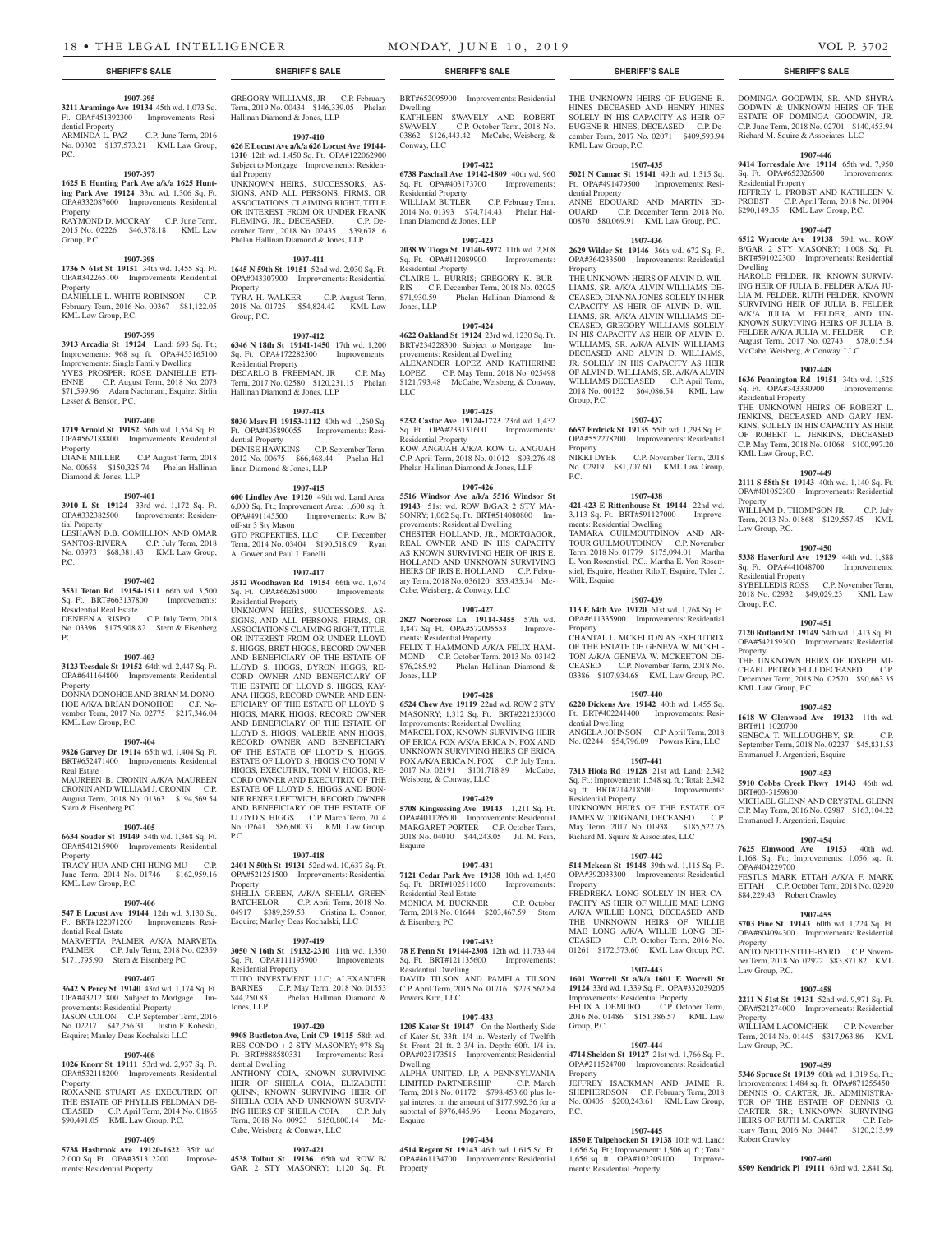#### **1907-395 3211 Aramingo Ave 19134** 45th wd. 1,073 Sq.

Ft. OPA#451392300 Improvements: Residential Property<br>ARMINDA L. PAZ ARMINDA L. PAZ C.P. June Term, 2016

No. 00302 \$137,573.21 KML Law Group, P.C.

### **1907-397**

**1625 E Hunting Park Ave a/k/a 1625 Hunting Park Ave 19124** 33rd wd. 1,306 Sq. Ft. OPA#332087600 Improvements: Residential Property

RAYMOND D. MCCRAY C.P. June Term, 2015 No. 02226 \$46,378.18 KML Law Group, P.C.

#### **1907-398**

**1736 N 61st St 19151** 34th wd. 1,455 Sq. Ft. OPA#342265100 Improvements: Residential Property

DANIELLE L. WHITE ROBINSON C.P. February Term, 2016 No. 00367 \$81,122.05 KML Law Group, P.C.

#### **1907-399**

**3913 Arcadia St 19124** Land: 693 Sq. Ft.; Improvements: 968 sq. ft. OPA#453165100 Improvements: Single Family Dwelling YVES PROSPER; ROSE DANIELLE ETI-ENNE C.P. August Term, 2018 No. 2073 \$71,599.96 Adam Nachmani, Esquire; Sirlin Lesser & Benson, P.C.

#### **1907-400**

**1719 Arnold St 19152** 56th wd. 1,554 Sq. Ft. OPA#562188800 Improvements: Residential Property DIANE MILLER C.P. August Term, 2018

No. 00658 \$150,325.74 Phelan Hallinan Diamond & Jones, LLP

#### **1907-401**

**3910 L St 19124** 33rd wd. 1,172 Sq. Ft. OPA#332382500 Improvements: Residential Property LESHAWN D.B. GOMILLION AND OMAR SANTOS-RIVERA C.P. July Term, 2018 No. 03973 \$68,381.43 KML Law Group, P.C.

#### **1907-402**

**3531 Teton Rd 19154-1511** 66th wd. 3,500 Sq. Ft. BRT#663137800 Improvements: Residential Real Estate DENEEN A. RISPO C.P. July Term, 2018 No. 03396 \$175,908.82 Stern & Eisenberg PC

#### **1907-403**

**3123 Teesdale St 19152** 64th wd. 2,447 Sq. Ft. OPA#641164800 Improvements: Residential Property

DONNA DONOHOE AND BRIAN M. DONO-HOE A/K/A BRIAN DONOHOE C.P. November Term, 2017 No. 02775 \$217,346.04 KML Law Group, P.C.

#### **1907-404**

**9826 Garvey Dr 19114** 65th wd. 1,404 Sq. Ft. BRT#652471400 Improvements: Residential Real Estate MAUREEN B. CRONIN A/K/A MAUREEN CRONIN AND WILLIAM J. CRONIN C.P.

August Term, 2018 No. 01363 \$194,569.54 Stern & Eisenberg PC

#### **1907-405**

**6634 Souder St 19149** 54th wd. 1,368 Sq. Ft. OPA#541215900 Improvements: Residential Property

TRACY HUA AND CHI-HUNG MU C.P. June Term, 2014 No. 01746 \$162,959.16 KML Law Group, P.C.

#### **1907-406**

**547 E Locust Ave 19144** 12th wd. 3,130 Sq. Ft. BRT#122071200 Improvements: Residential Real Estate

MARVETTA PALMER A/K/A MARVETA PALMER C.P. July Term, 2018 No. 02359 \$171,795.90 Stern & Eisenberg PC

#### **1907-407**

**3642 N Percy St 19140** 43rd wd. 1,174 Sq. Ft. OPA#432121800 Subject to Mortgage Improvements: Residential Property JASON COLON C.P. September Term, 2016<br>No. 02217 \$42.256.31 Iustin E. Kobeski  $I$ ustin  $F$ . Kobeski Esquire; Manley Deas Kochalski LLC

#### **1907-408**

**1026 Knorr St 19111** 53rd wd. 2,937 Sq. Ft. OPA#532118200 Improvements: Residential Property ROXANNE STUART AS EXECUTRIX OF THE ESTATE OF PHYLLIS FELDMAN DE-CEASED C.P. April Term, 2014 No. 01865 \$90,491.05 KML Law Group, P.C.

#### **1907-409**

**5738 Hasbrook Ave 19120-1622** 35th wd. 2,000 Sq. Ft. OPA#351312200 Improvements: Residential Property

GREGORY WILLIAMS, JR C.P. February Term, 2019 No. 00434 \$146,339.05 Phelan Hallinan Diamond & Jones, LLP

**1907-410 626 E Locust Ave a/k/a 626 Locust Ave 19144- 1310** 12th wd. 1,450 Sq. Ft. OPA#122062900 Subject to Mortgage Improvements: Residen-

tial Property UNKNOWN HEIRS, SUCCESSORS, AS-SIGNS, AND ALL PERSONS, FIRMS, OR ASSOCIATIONS CLAIMING RIGHT, TITLE OR INTEREST FROM OR UNDER FRANK<br>FLEMING IR DECEASED CP De-FLEMING, JR., DECEASED. C.P. December Term. 2018 No. 02435 \$39,678.16 cember Term, 2018 No. 02435 Phelan Hallinan Diamond & Jones, LLP

## **1907-411**

**1645 N 59th St 19151** 52nd wd. 2,030 Sq. Ft. OPA#043307900 Improvements: Residential Property TYRA H. WALKER C.P. August Term, 2018 No. 01725 \$54,824.42 KML Law Group, P.C.

#### **1907-412**

**6346 N 18th St 19141-1450** 17th wd. 1,200 Sq. Ft. OPA#172282500 Improvements: Residential Property DECARLO B. FREEMAN, JR C.P. May Term, 2017 No. 02580 \$120,231.15 Phelan Hallinan Diamond & Jones, LLP

#### **1907-413**

**8030 Mars Pl 19153-1112** 40th wd. 1,260 Sq. Ft. OPA#405890055 Improvements: Residential Property<br>DENISE HAWKINS C.P. September Term, 2012 No. 00675 \$66,468.44 Phelan Hallinan Diamond & Jones, LLP

#### **1907-415**

**600 Lindley Ave 19120** 49th wd. Land Area: 6,000 Sq. Ft.; Improvement Area: 1,600 sq. ft. Improvements: Row B/ off-str 3 Sty Mason GTO PROPERTIES, LLC C.P. December Term, 2014 No. 03404 \$190,518.09 Ryan

A. Gower and Paul J. Fanelli **1907-417**

**3512 Woodhaven Rd 19154** 66th wd. 1,674 Sq. Ft. OPA#662615000 Improvements: Residential Property

UNKNOWN HEIRS, SUCCESSORS, AS-SIGNS, AND ALL PERSONS, FIRMS, OR ASSOCIATIONS CLAIMING RIGHT, TITLE, OR INTEREST FROM OR UNDER LLOYD S. HIGGS, BRET HIGGS, RECORD OWNER AND BENEFICIARY OF THE ESTATE OF LLOYD S. HIGGS, BYRON HIGGS, RE-CORD OWNER AND BENEFICIARY OF THE ESTATE OF LLOYD S. HIGGS, KAY-ANA HIGGS, RECORD OWNER AND BEN-EFICIARY OF THE ESTATE OF LLOYD S. HIGGS, MARK HIGGS, RECORD OWNER AND BENEFICIARY OF THE ESTATE OF LLOYD S. HIGGS, VALERIE ANN HIGGS, RECORD OWNER AND BENEFICIARY OF THE ESTATE OF LLOYD S. HIGGS, ESTATE OF LLOYD S. HIGGS C/O TONI V. HIGGS, EXECUTRIX, TONI V. HIGGS, RE-CORD OWNER AND EXECUTRIX OF THE ESTATE OF LLOYD S. HIGGS AND BON-NIE RENEE LEFTWICH, RECORD OWNER AND BENEFICIARY OF THE ESTATE OF LLOYD S. HIGGS C.P. March Term, 2014 No. 02641 \$86,600.33 KML Law Group, P.C.

#### **1907-418**

**2401 N 50th St 19131** 52nd wd. 10,637 Sq. Ft. OPA#521251500 Improvements: Residential Property SHELIA GREEN, A/K/A SHELIA GREEN BATCHELOR C.P. April Term, 2018 No. 04917 \$389,259.53 Cristina L. Connor, Esquire; Manley Deas Kochalski, LLC

#### **1907-419**

**3050 N 16th St 19132-2310** 11th wd. 1,350 Sq. Ft. OPA#111195900 Improvements: Residential Property TUTO INVESTMENT LLC; ALEXANDER BARNES C.P. May Term, 2018 No. 01553 \$44,250.83 Phelan Hallinan Diamond & Jones, LLP

#### **1907-420**

**9908 Bustleton Ave, Unit C9 19115** 58th wd. RES CONDO + 2 STY MASONRY; 978 Sq. Ft. BRT#888580331 Improvements: Residential Dwelling ANTHONY COIA, KNOWN SURVIVING HEIR OF SHEILA COIA, ELIZABETH QUINN, KNOWN SURVIVING HEIR OF SHEILA COIA AND UNKNOWN SURVIV-ING HEIRS OF SHEILA COIA C.P. July Term, 2018 No. 00923 \$150,800.14 Mc-Cabe, Weisberg, & Conway, LLC

**1907-421 4538 Tolbut St 19136** 65th wd. ROW B/ GAR 2 STY MASONRY; 1,120 Sq. Ft.

#### **1907-434**

**4514 Regent St 19143** 46th wd. 1,615 Sq. Ft. OPA#461134700 Improvements: Residential Property

**SHERIFF'S SALE SHERIFF'S SALE SHERIFF'S SALE SHERIFF'S SALE SHERIFF'S SALE**

THE UNKNOWN HEIRS OF EUGENE R HINES DECEASED AND HENRY HINES SOLELY IN HIS CAPACITY AS HEIR OF EUGENE R. HINES, DECEASED C.P. December Term, 2017 No. 02071 \$409,593.94 KML Law Group, P.C.

#### **1907-435**

BRT#652095900 Improvements: Residential

KATHLEEN SWAVELY AND ROBERT SWAVELY C.P. October Term, 2018 No. 03862 \$126,443.42 McCabe, Weisberg, &

**1907-422 6738 Paschall Ave 19142-1809** 40th wd. 960

WILLIAM BUTLER C.P. February Term, 2014 No. 01393 \$74,714.43 Phelan Hal-

**1907-423 2038 W Tioga St 19140-3972** 11th wd. 2,808

CLAIRE L. BURRIS; GREGORY K. BUR-RIS C.P. December Term, 2018 No. 02025<br>\$71.930.59 Phelan Hallinan Diamond &

**1907-424 4622 Oakland St 19124** 23rd wd. 1230 Sq. Ft. BRT#234228300 Subject to Mortgage Im-

ALEXANDER LOPEZ AND KATHERINE LOPEZ C.P. May Term, 2018 No. 025498 \$121,793.48 McCabe, Weisberg, & Conway,

**1907-425 5232 Castor Ave 19124-1723** 23rd wd. 1,432 Sq. Ft. OPA#233131600 Improvements:

KOW ANGUAH A/K/A KOW G. ANGUAH C.P. April Term, 2018 No. 01012 \$93,276.48 Phelan Hallinan Diamond & Jones, LLP **1907-426 5516 Windsor Ave a/k/a 5516 Windsor St 19143** 51st wd. ROW B/GAR 2 STY MA-SONRY; 1,062 Sq. Ft. BRT#514080800 Improvements: Residential Dwelling

CHESTER HOLLAND, JR., MORTGAGOR, REAL OWNER AND IN HIS CAPACITY AS KNOWN SURVIVING HEIR OF IRIS E. HOLLAND AND UNKNOWN SURVIVING HEIRS OF IRIS E. HOLLAND C.P. February Term, 2018 No. 036120 \$53,435.54 Mc-

**1907-427 2827 Norcross Ln 19114-3455** 57th wd. 1,847 Sq. Ft. OPA#572095553 Improve-

FELIX T. HAMMOND A/K/A FELIX HAM-MOND C.P. October Term, 2013 No. 03142<br>\$76,285.92 Phelan Hallinan Diamond & Phelan Hallinan Diamond &

**1907-428 6524 Chew Ave 19119** 22nd wd. ROW 2 STY MASONRY; 1,312 Sq. Ft. BRT#221253000 Improvements: Residential Dwelling MARCEL FOX, KNOWN SURVIVING HEIR OF ERICA FOX A/K/A ERICA N. FOX AND UNKNOWN SURVIVING HEIRS OF ERICA FOX A/K/A ERICA N. FOX C.P. July Term, 2017 No. 02191 \$101,718.89 McCabe,

**1907-429 5708 Kingsessing Ave 19143** 1,211 Sq. Ft. OPA#401126500 Improvements: Residential MARGARET PORTER C.P. October Term, 2018 No. 04010 \$44,243.05 Jill M. Fein,

**1907-431 7121 Cedar Park Ave 19138** 10th wd. 1,450

MONICA M. BUCKNER C.P. October Term, 2018 No. 01644 \$203,467.59 Stern

**1907-432 78 E Penn St 19144-2308** 12th wd. 11,733.44 Sq. Ft. BRT#121135600 Improvements:

DAVID TILSON AND PAMELA TILSON C.P. April Term, 2015 No. 01716 \$273,562.84

of Kater St, 33ft. 1/4 in. Westerly of Twelfth St. Front: 21 ft. 2 3/4 in. Depth: 60ft. 1/4 in. OPA#023173515 Improvements: Residential

ALPHA UNITED, LP, A PENNSYLVANIA LIMITED PARTNERSHIP C.P. March Term, 2018 No. 01172 \$798,453.60 plus legal interest in the amount of \$177,992.36 for a subtotal of \$976,445.96 Leona Mogavero,

On the Northerly Side

Cabe, Weisberg, & Conway, LLC

ments: Residential Property

Weisberg, & Conway, LLC

Sq. Ft. BRT#102511600 Residential Real Estate<br>MONICA M BUCKNER

& Eisenberg PC

Residential Dwelling

Powers Kirn, LLC

Dwelling

Esquire

1907-433<br>**1205 Kater St 19147** On

Jones, LLP

Esquire

provements: Residential Dwelling

Phelan Hallinan Diamond &

Dwelling

Conway, LLC

Sq. Ft. OPA#403173700 Residential Property

linan Diamond & Jones, LLP

Sq. Ft. OPA#112089900 Residential Property

Jones, LLP

LLC

Residential Property

**5021 N Camac St 19141** 49th wd. 1,315 Sq. Ft. OPA#491479500 Improvements: Residential Property ANNE EDOUARD AND MARTIN ED-

OUARD C.P. December Term, 2018 No. 00870 \$80,069.91 KML Law Group, P.C. **1907-436**

**2629 Wilder St 19146** 36th wd. 672 Sq. Ft. OPA#364233500 Improvements: Residential

Property THE UNKNOWN HEIRS OF ALVIN D. WIL-LIAMS, SR. A/K/A ALVIN WILLIAMS DE-CEASED, DIANNA JONES SOLELY IN HER CAPACITY AS HEIR OF ALVIN D. WIL-LIAMS, SR. A/K/A ALVIN WILLIAMS DE-CEASED, GREGORY WILLIAMS SOLELY IN HIS CAPACITY AS HEIR OF ALVIN D. WILLIAMS, SR. A/K/A ALVIN WILLIAMS DECEASED AND ALVIN D. WILLIAMS, JR. SOLELY IN HIS CAPACITY AS HEIR OF ALVIN D. WILLIAMS, SR. A/K/A ALVIN WILLIAMS DECEASED C.P. April Term, 2018 No. 00132 \$64,086.54 KML Law Group, P.C.

#### **1907-437**

**6657 Erdrick St 19135** 55th wd. 1,293 Sq. Ft. OPA#552278200 Improvements: Residential Property

NIKKI DYER C.P. November Term, 2018 No. 02919 \$81,707.60 KML Law Group, P.C.

#### **1907-438**

**421-423 E Rittenhouse St 19144** 22nd wd. 3,113 Sq. Ft. BRT#591127000 Improvements: Residential Dwelling TAMARA GUILMOUTDINOV AND AR-TOUR GUILMOUTDINOV C.P. November Term, 2018 No. 01779 \$175,094.01 Martha E. Von Rosenstiel, P.C., Martha E. Von Rosenstiel, Esquire, Heather Riloff, Esquire, Tyler J. Wilk, Esquire

#### **1907-439**

**113 E 64th Ave 19120** 61st wd. 1,768 Sq. Ft. OPA#611335900 Improvements: Residential Property CHANTAL L. MCKELTON AS EXECUTRIX

OF THE ESTATE OF GENEVA W. MCKEL-TON A/K/A GENEVA W. MCKEETON DE-CEASED C.P. November Term, 2018 No. 03386 \$107,934.68 KML Law Group, P.C.

#### **1907-440**

**6220 Dickens Ave 19142** 40th wd. 1,455 Sq. Ft. BRT#402241400 Improvements: Residential Dwelling ANGELA JOHNSON C.P. April Term, 2018 No. 02244 \$54,796.09 Powers Kirn, LLC

#### **1907-441**

**7313 Hiola Rd 19128** 21st wd. Land: 2,342 Sq. Ft.; Improvement: 1,548 sq. ft.; Total: 2,342 sq. ft. BRT#214218500 Improvements: sq. ft. BRT#214218500 Residential Property UNKNOWN HEIRS OF THE ESTATE OF JAMES W. TRIGNANI, DECEASED C.P. May Term, 2017 No. 01938 \$185,522.75 Richard M. Squire & Associates, LLC

#### **1907-442**

**514 Mckean St 19148** 39th wd. 1,115 Sq. Ft. OPA#392033300 Improvements: Residential Property FREDREKA LONG SOLELY IN HER CA-

PACITY AS HEIR OF WILLIE MAE LONG A/K/A WILLIE LONG, DECEASED AND THE UNKNOWN HEIRS OF WILLIE MAE LONG A/K/A WILLIE LONG DE-<br>CEASED CP October Term 2016 No C.P. October Term, 2016 No. 01261 \$172,573.60 KML Law Group, P.C.

#### **1907-443**

**1601 Worrell St a/k/a 1601 E Worrell St 19124** 33rd wd. 1,339 Sq. Ft. OPA#332039205 Improvements: Residential Property<br>FELIX A. DEMURO C.P. October Term,

FELIX A. DEMURO 2016 No. 01486 \$151,386.57 KML Law Group, P.C.

#### **1907-444**

**4714 Sheldon St 19127** 21st wd. 1,766 Sq. Ft. OPA#211524700 Improvements: Residential **Property** JEFFREY ISACKMAN AND JAIME R. SHEPHERDSON C.P. February Term, 2018 No. 00405 \$200,243.61 KML Law Group, P.C.

# **1907-445**

**1850 E Tulpehocken St 19138** 10th wd. Land: 1,656 Sq. Ft.; Improvement: 1,506 sq. ft.; Total: 1,656 sq. ft. OPA#102209100 Improvements: Residential Property

DOMINGA GOODWIN, SR. AND SHYRA GODWIN & UNKNOWN HEIRS OF THE ESTATE OF DOMINGA GOODWIN, JR. C.P. June Term, 2018 No. 02701 \$140,453.94 Richard M. Squire & Associates, LLC

#### **1907-446**

**9414 Torresdale Ave 19114** 65th wd. 7,950 Sq. Ft. OPA#652326500 Improvements: Residential Property JEFFREY L. PROBST AND KATHLEEN V. PROBST C.P. April Term, 2018 No. 01904 \$290,149.35 KML Law Group, P.C.

#### **1907-447**

**6512 Wyncote Ave 19138** 59th wd. ROW B/GAR 2 STY MASONRY; 1,008 Sq. Ft. BRT#591022300 Improvements: Residential Dwelling HAROLD FELDER, JR. KNOWN SURVIV-

ING HEIR OF JULIA B. FELDER A/K/A JU-LIA M. FELDER, RUTH FELDER, KNOWN SURVIVING HEIR OF JULIA B. FELDER A/K/A JULIA M. FELDER, AND UN-KNOWN SURVIVING HEIRS OF JULIA B. FELDER A/K/A JULIA M. FELDER August Term, 2017 No. 02743 \$78,015.54 McCabe, Weisberg, & Conway, LLC

#### **1907-448**

**1636 Pennington Rd 19151** 34th wd. 1,525 Sq. Ft. OPA#343330900 Improvements: Residential Property

THE UNKNOWN HEIRS OF ROBERT L. JENKINS, DECEASED AND GARY JEN-KINS, SOLELY IN HIS CAPACITY AS HEIR OF ROBERT L. JENKINS, DECEASED C.P. May Term, 2018 No. 01068 \$100,997.20 KML Law Group, P.C.

#### **1907-449 2111 S 58th St 19143** 40th wd. 1,140 Sq. Ft.

**Property** 

Law Group, P.C.

Residential Property

KML Law Group, P.C.

BRT#11-1020700

BRT#03-3159800

OPA#404229700

Property

Property

Law Group, P.C.

Law Group, P.C.

Robert Crawley

WILLIAM LACOMCHEK

Group, P.C.

Property

OPA#401052300 Improvements: Residential

WILLIAM D. THOMPSON JR. C.P. July Term, 2013 No. 01868 \$129,557.45 KML

**1907-450 5338 Haverford Ave 19139** 44th wd. 1,888 Sq. Ft. OPA#441048700 Improvements:

SYBELLEDIS ROSS C.P. November Term, 2018 No. 02932 \$49,029.23 KML Law

**1907-451 7120 Rutland St 19149** 54th wd. 1,413 Sq. Ft. OPA#542159300 Improvements: Residential

THE UNKNOWN HEIRS OF JOSEPH MI-CHAEL PETROCELLI DECEASED C.P. December Term, 2018 No. 02570 \$90,663.35

**1907-452 1618 W Glenwood Ave 19132** 11th wd.

SENECA T. WILLOUGHBY, SR. C.P. September Term, 2018 No. 02237 \$45,831.53

**1907-453 5910 Cobbs Creek Pkwy 19143** 46th wd.

MICHAEL GLENN AND CRYSTAL GLENN C.P. May Term, 2016 No. 02987 \$163,104.22

**1907-454 7625 Elmwood Ave 19153** 40th wd. 1,168 Sq. Ft.; Improvements: 1,056 sq. ft.

FESTUS MARK ETTAH A/K/A F. MARK ETTAH C.P. October Term, 2018 No. 02920

**1907-455 5703 Pine St 19143** 60th wd. 1,224 Sq. Ft. OPA#604094300 Improvements: Residential

ANTOINETTE STITH-BYRD C.P. November Term, 2018 No. 02922 \$83,871.82 KML

**1907-458 2211 N 51st St 19131** 52nd wd. 9,971 Sq. Ft. OPA#521274000 Improvements: Residential

Term, 2014 No. 01445 \$317,963.86 KML

**1907-459 5346 Spruce St 19139** 60th wd. 1,319 Sq. Ft.; Improvements: 1,484 sq. ft. OPA#871255450 DENNIS O. CARTER, JR. ADMINISTRA-TOR OF THE ESTATE OF DENNIS O. CARTER, SR.; UNKNOWN SURVIVING HEIRS OF RUTH M. CARTER C.P. February Term, 2016 No. 04447 \$120,213.99

**1907-460 8509 Kendrick Pl 19111** 63rd wd. 2,841 Sq.

Emmanuel J. Argentieri, Esquire

Emmanuel J. Argentieri, Esquire

\$84,229.43 Robert Crawley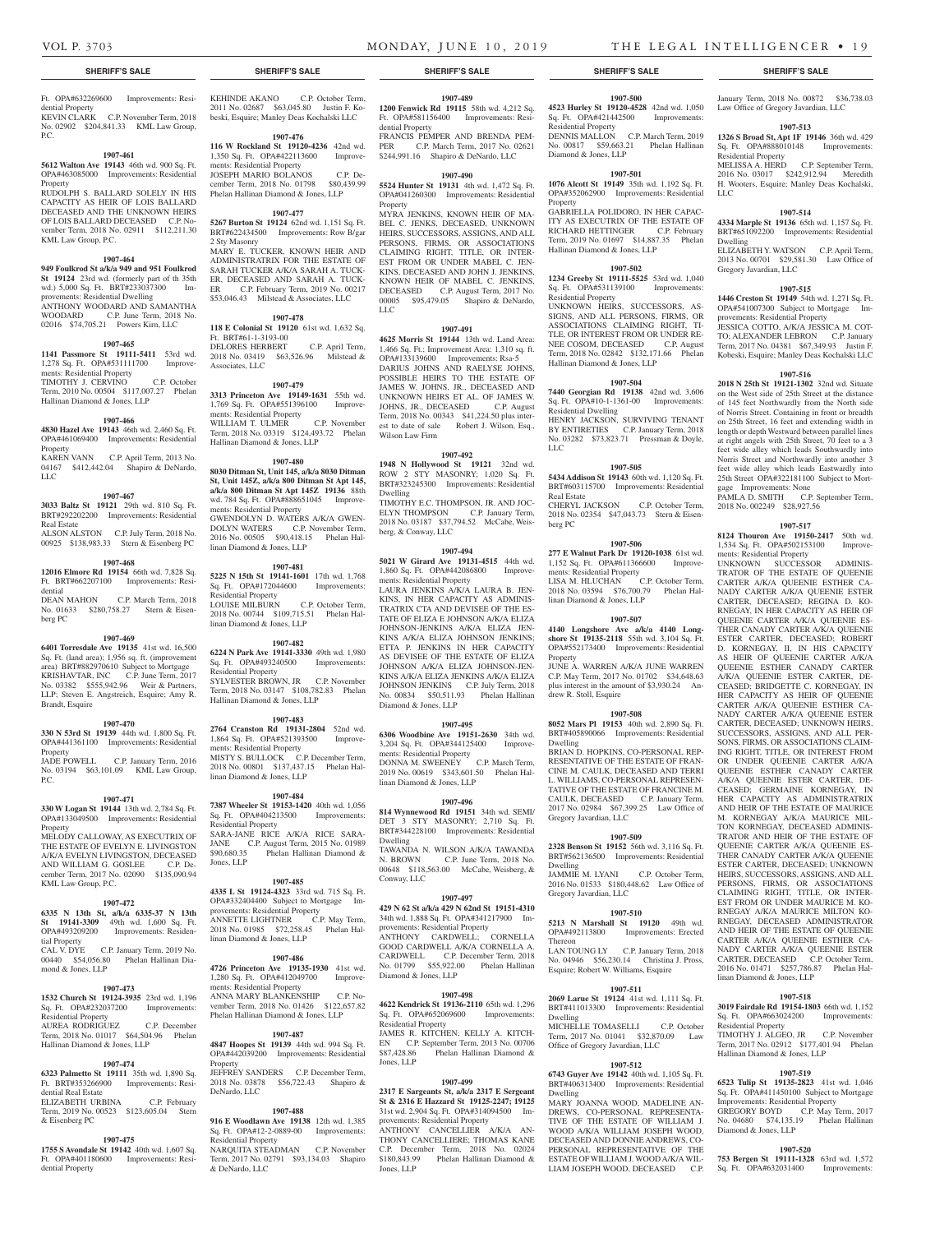Residential Property

Gregory Javardian, LLC

provements: Residential Property

gage Improvements: None

ments: Residential Property

linan Diamond & Jones, LLP

Residential Property

Diamond & Jones, LLP

Hallinan Diamond & Jones, LLP

**1907-518 3019 Fairdale Rd 19154-1803** 66th wd. 1,152 Sq. Ft. OPA#663024200 Improvements:

TIMOTHY J. ALGEO, JR C.P. November Term, 2017 No. 02912 \$177,401.94 Phelan

**1907-519 6523 Tulip St 19135-2823** 41st wd. 1,046 Sq. Ft. OPA#411450100 Subject to Mortgage Improvements: Residential Property GREGORY BOYD C.P. May Term, 2017 No. 04680 \$74,135.19 Phelan Hallinan

**1907-520 753 Bergen St 19111-1328** 63rd wd. 1,572 Sq. Ft. OPA#632031400 Improvements:

2018 No. 002249 \$28,927.56

PAMLA D. SMITH C.P. September Term,

**1907-517 8124 Thouron Ave 19150-2417** 50th wd. 1,534 Sq. Ft. OPA#502153100 Improve-

UNKNOWN SUCCESSOR ADMINIS-TRATOR OF THE ESTATE OF QUEENIE CARTER A/K/A QUEENIE ESTHER CA-NADY CARTER A/K/A QUEENIE ESTER CARTER, DECEASED; REGINA D. KO-RNEGAY, IN HER CAPACITY AS HEIR OF QUEENIE CARTER A/K/A QUEENIE ES-THER CANADY CARTER A/K/A QUEENIE ESTER CARTER, DECEASED; ROBERT D. KORNEGAY, II, IN HIS CAPACITY AS HEIR OF QUEENIE CARTER A/K/A QUEENIE ESTHER CANADY CARTER A/K/A QUEENIE ESTER CARTER, DE-CEASED; BRIDGETTE C. KORNEGAY, IN HER CAPACITY AS HEIR OF QUEENIE CARTER A/K/A QUEENIE ESTHER CA-NADY CARTER A/K/A QUEENIE ESTER CARTER, DECEASED; UNKNOWN HEIRS, SUCCESSORS, ASSIGNS, AND ALL PER-SONS, FIRMS, OR ASSOCIATIONS CLAIM-ING RIGHT, TITLE, OR INTEREST FROM OR UNDER QUEENIE CARTER A/K/A QUEENIE ESTHER CANADY CARTER A/K/A QUEENIE ESTER CARTER, DE-CEASED; GERMAINE KORNEGAY, IN HER CAPACITY AS ADMINISTRATRIX AND HEIR OF THE ESTATE OF MAURICE M. KORNEGAY A/K/A MAURICE MIL-TON KORNEGAY, DECEASED ADMINIS-TRATOR AND HEIR OF THE ESTATE OF QUEENIE CARTER A/K/A QUEENIE ES-THER CANADY CARTER A/K/A QUEENIE ESTER CARTER, DECEASED; UNKNOWN HEIRS, SUCCESSORS, ASSIGNS, AND ALL PERSONS, FIRMS, OR ASSOCIATIONS CLAIMING RIGHT, TITLE, OR INTER-EST FROM OR UNDER MAURICE M. KO-RNEGAY A/K/A MAURICE MILTON KO-RNEGAY, DECEASED ADMINISTRATOR AND HEIR OF THE ESTATE OF OUFFNIE CARTER A/K/A QUEENIE ESTHER CA-NADY CARTER A/K/A QUEENIE ESTER CARTER, DECEASED C.P. October Term, 2016 No. 01471 \$257,786.87 Phelan Hal-

LLC

Dwelling

January Term, 2018 No. 00872 \$36,738.03

**1907-513**

MELISSA A. HERD C.P. September Term, 2016 No. 03017 \$242,912.94 Meredith H. Wooters, Esquire; Manley Deas Kochalski,

**1907-514 4334 Marple St 19136** 65th wd. 1,157 Sq. Ft. BRT#651092200 Improvements: Residential

ELIZABETH Y. WATSON C.P. April Term, 2013 No. 00701 \$29,581.30 Law Office of

**1907-515 1446 Creston St 19149** 54th wd. 1,271 Sq. Ft. OPA#541007300 Subject to Mortgage Im-

JESSICA COTTO, A/K/A JESSICA M. COT-TO; ALEXANDER LEBRON C.P. January Term, 2017 No. 04381 \$67,349.93 Justin F. Kobeski, Esquire; Manley Deas Kochalski LLC **1907-516 2018 N 25th St 19121-1302** 32nd wd. Situate on the West side of 25th Street at the distance of 145 feet Northwardly from the North side of Norris Street. Containing in front or breadth on 25th Street, 16 feet and extending width in length or depth Westward between parallel lines at right angels with 25th Street, 70 feet to a 3 feet wide alley which leads Southwardly into Norris Street and Northwardly into another 3 feet wide alley which leads Eastwardly into 25th Street OPA#322181100 Subject to Mort-

#### Ft. OPA#632269600 Improvements: Residential Property

KEVIN CLARK C.P. November Term, 2018 No. 02902 \$204,841.33 KML Law Group,  $PC<sub>c</sub>$ 

#### **1907-461**

**5612 Walton Ave 19143** 46th wd. 900 Sq. Ft. OPA#463085000 Improvements: Residential Property RUDOLPH S. BALLARD SOLELY IN HIS CAPACITY AS HEIR OF LOIS BALLARD DECEASED AND THE UNKNOWN HEIRS OF LOIS BALLARD DECEASED C.P. November Term, 2018 No. 02911 \$112,211.30 KML Law Group, P.C.

#### **1907-464**

#### **949 Foulkrod St a/k/a 949 and 951 Foulkrod St 19124** 23rd wd. (formerly part of th 35th wd.) 5,000 Sq. Ft. BRT#233037300 Improvements: Residential Dwelling ANTHONY WOODARD AND SAMANTHA

WOODARD C.P. June Term, 2018 No. 02016 \$74,705.21 Powers Kirn, LLC

#### **1907-465**

**1141 Passmore St 19111-5411** 53rd wd. 1,278 Sq. Ft. OPA#531111700 Improvements: Residential Property TIMOTHY J. CERVINO C.P. October Term, 2010 No. 00504 \$117,007.27 Phelan Hallinan Diamond & Jones, LLP

#### **1907-466**

**4830 Hazel Ave 19143** 46th wd. 2,460 Sq. Ft. OPA#461069400 Improvements: Residential Property KAREN VANN C.P. April Term, 2013 No.

04167 \$412,442.04 Shapiro & DeNardo, LLC

#### **1907-467**

**3033 Baltz St 19121** 29th wd. 810 Sq. Ft. BRT#292202200 Improvements: Residential Real Estate ALSON ALSTON C.P. July Term, 2018 No.

00925 \$138,983.33 Stern & Eisenberg PC **1907-468**

## **12016 Elmore Rd 19154** 66th wd. 7,828 Sq.

Ft. BRT#662207100 Improvements: Residential DEAN MAHON C.P. March Term, 2018 No. 01633 \$280,758.27 Stern & Eisenberg PC

#### **1907-469 6401 Torresdale Ave 19135** 41st wd. 16,500 Sq. Ft. (land area); 1,956 sq. ft. (improvement area) BRT#882970610 Subject to Mortgage KRISHAVTAR, INC C.P. June Term, 2017 No. 03382 \$555,942.96 Weir & Partners, LLP; Steven E. Angstreich, Esquire; Amy R. Brandt, Esquire

#### **1907-470**

**330 N 53rd St 19139** 44th wd. 1,800 Sq. Ft. OPA#441361100 Improvements: Residential Property JADE POWELL C.P. January Term, 2016 No. 03194 \$63,101.09 KML Law Group,  $P C$ 

#### **1907-471**

**330 W Logan St 19144** 13th wd. 2,784 Sq. Ft. OPA#133049500 Improvements: Residential Property MELODY CALLOWAY, AS EXECUTRIX OF THE ESTATE OF EVELYN E. LIVINGSTON A/K/A EVELYN LIVINGSTON, DECEASED

### AND WILLIAM G. GOSLEE C.P. December Term, 2017 No. 02090 \$135,090.94 KML Law Group, P.C.

#### **1907-472**

**6335 N 13th St, a/k/a 6335-37 N 13th St 19141-3309** 49th wd. 1,600 Sq. Ft. OPA#493209200 Improvements: Residential Property

CAL V. DYE C.P. January Term, 2019 No. 00440 \$54,056.80 Phelan Hallinan Diamond & Jones, LLP

#### **1907-473**

**1532 Church St 19124-3935** 23rd wd. 1,196 Sq. Ft. OPA#232037200 Improvements: Residential Property AUREA RODRIGUEZ Term, 2018 No. 01017 \$64,504.96 Phelan

# Hallinan Diamond & Jones, LLP

#### **1907-474**

**6323 Palmetto St 19111** 35th wd. 1,890 Sq. Ft. BRT#353266900 Improvements: Residential Real Estate ELIZABETH URBINA C.P. February

Term, 2019 No. 00523 \$123,605.04 Stern & Eisenberg PC

#### **1907-475**

**1755 S Avondale St 19142** 40th wd. 1,607 Sq. Ft. OPA#401180600 Improvements: Residential Property

#### KEHINDE AKANO C.P. October Term, 2011 No. 02687 \$63,045.80 Justin F. Kobeski, Esquire; Manley Deas Kochalski LLC

**1907-476 116 W Rockland St 19120-4236** 42nd wd. 1,350 Sq. Ft. OPA#422113600 Improvements: Residential Property JOSEPH MARIO BOLANOS C.P. December Term, 2018 No. 01798 \$80,439.99 Phelan Hallinan Diamond & Jones, LLP

#### **1907-477**

**5267 Burton St 19124** 62nd wd. 1,151 Sq. Ft. BRT#622434500 Improvements: Row B/gar 2 Sty Masonry MARY E. TUCKER, KNOWN HEIR AND ADMINISTRATRIX FOR THE ESTATE OF SARAH TUCKER A/K/A SARAH A. TUCK-ER, DECEASED AND SARAH A. TUCK-ER C.P. February Term, 2019 No. 00217 \$53,046.43 Milstead & Associates, LLC

#### **1907-478**

**118 E Colonial St 19120** 61st wd. 1,632 Sq. Ft. BRT#61-1-3193-00 DELORES HERBERT C.P. April Term, 2018 No. 03419 \$63,526.96 Milstead & Associates, LLC

#### **1907-479**

**3313 Princeton Ave 19149-1631** 55th wd. 1,769 Sq. Ft. OPA#551396100 Improvements: Residential Property WILLIAM T. ULMER C.P. November Term, 2018 No. 03319 \$124,493.72 Phelan Hallinan Diamond & Jones, LLP

#### **1907-480**

**8030 Ditman St, Unit 145, a/k/a 8030 Ditman St, Unit 145Z, a/k/a 800 Ditman St Apt 145, a/k/a 800 Ditman St Apt 145Z 19136** 88th wd. 784 Sq. Ft. OPA#888651045 Improvements: Residential Property GWENDOLYN D. WATERS A/K/A GWEN-DOLYN WATERS C.P. November Term,

2016 No. 00505 \$90,418.15 Phelan Hallinan Diamond & Jones, LLP **1907-481**

**5225 N 15th St 19141-1601** 17th wd. 1,768 Sq. Ft. OPA#172044600 Improvements: Residential Property<br>LOUISE MILBURN LOUISE MILBURN C.P. October Term, 2018 No. 00744 \$109,715.51 Phelan Hal-

#### **1907-482**

linan Diamond & Jones, LLP

**6224 N Park Ave 19141-3330** 49th wd. 1,980 Sq. Ft. OPA#493240500 Improvements: Residential Property SYLVESTER BROWN, JR C.P. November Term, 2018 No. 03147 \$108,782.83 Phelan Hallinan Diamond & Jones, LLP

#### **1907-483**

**2764 Cranston Rd 19131-2804** 52nd wd. 1,864 Sq. Ft. OPA#521393500 Improvements: Residential Property MISTY S. BULLOCK C.P. December Term, 2018 No. 00801 \$137,437.15 Phelan Hallinan Diamond & Jones, LLP

#### **1907-484**

**7387 Wheeler St 19153-1420** 40th wd. 1,056 Sq. Ft. OPA#404213500 Improvements: Residential Property SARA-JANE RICE A/K/A RICE SARA-

#### JANE C.P. August Term, 2015 No. 01989<br>\$90,680.35 Phelan Hallinan Diamond & Phelan Hallinan Diamond & Jones, LLP

#### **1907-485**

**4335 L St 19124-4323** 33rd wd. 715 Sq. Ft. OPA#332404400 Subject to Mortgage Improvements: Residential Property ANNETTE LIGHTNER C.P. May Term, 2018 No. 01985 \$72,258.45 Phelan Hallinan Diamond & Jones, LLP

#### **1907-486**

**4726 Princeton Ave 19135-1930** 41st wd. 1,280 Sq. Ft. OPA#412049700 Improvements: Residential Property ANNA MARY BLANKENSHIP C.P. November Term, 2018 No. 01426 \$122,657.82 Phelan Hallinan Diamond & Jones, LLP

#### **1907-487**

**4847 Hoopes St 19139** 44th wd. 994 Sq. Ft. OPA#442039200 Improvements: Residential Property JEFFREY SANDERS C.P. December Term, 2018 No. 03878 \$56,722.43 Shapiro & DeNardo, LLC

#### **1907-488**

**916 E Woodlawn Ave 19138** 12th wd. 1,385 Sq. Ft. OPA#12-2-0889-00 Improvements: Residential Property NARQUITA STEADMAN C.P. November

Term, 2017 No. 02791 \$93,134.03 Shapiro & DeNardo, LLC

#### **SHERIFF'S SALE SHERIFF'S SALE SHERIFF'S SALE SHERIFF'S SALE SHERIFF'S SALE**

#### **1907-489**

**1200 Fenwick Rd 19115** 58th wd. 4,212 Sq. Ft. OPA#581156400 Improvements: Residential Property FRANCIS PEMPER AND BRENDA PEM-<br>PER CP March Term 2017 No. 02621 C.P. March Term, 2017 No. 02621 \$244,991.16 Shapiro & DeNardo, LLC

#### **1907-490**

**5524 Hunter St 19131** 4th wd. 1,472 Sq. Ft. OPA#041260300 Improvements: Residential Property

MYRA JENKINS, KNOWN HEIR OF MA-BEL C. JENKS, DECEASED, UNKNOWN HEIRS, SUCCESSORS, ASSIGNS, AND ALL PERSONS, FIRMS, OR ASSOCIATIONS CLAIMING RIGHT, TITLE, OR INTER-EST FROM OR UNDER MABEL C. JEN-KINS, DECEASED AND JOHN J. JENKINS, KNOWN HEIR OF MABEL C. JENKINS, DECEASED C.P. August Term, 2017 No. 00005 \$95,479.05 Shapiro & DeNardo, LLC

#### **1907-491**

**4625 Morris St 19144** 13th wd. Land Area: 1,466 Sq. Ft.; Improvement Area: 1,310 sq. ft. OPA#133139600 Improvements: Rsa-5 DARIUS JOHNS AND RAELYSE JOHNS, POSSIBLE HEIRS TO THE ESTATE OF JAMES W. JOHNS, JR., DECEASED AND UNKNOWN HEIRS ET AL. OF JAMES W. JOHNS, JR., DECEASED C.P. August Term, 2018 No. 00343 \$41,224.50 plus interest to date of sale Robert J. Wilson, Esq., Wilson Law Firm

#### **1907-492**

**1948 N Hollywood St 19121** 32nd wd. ROW 2 STY MASONRY; 1,020 Sq. Ft. BRT#323245300 Improvements: Residential Dwelling

TIMOTHY E.C. THOMPSON, JR. AND JOC-ELYN THOMPSON C.P. January Term, 2018 No. 03187 \$37,794.52 McCabe, Weisberg, & Conway, LLC

#### **1907-494**

**5021 W Girard Ave 19131-4515** 44th wd. 1,860 Sq. Ft. OPA#442086800 Improvements: Residential Property

LAURA JENKINS A/K/A LAURA B. JEN-KINS, IN HER CAPACITY AS ADMINIS-TRATRIX CTA AND DEVISEE OF THE ES-TATE OF ELIZA E JOHNSON A/K/A ELIZA JOHNSON-JENKINS A/K/A ELIZA JEN-KINS A/K/A ELIZA JOHNSON JENKINS; ETTA P. JENKINS IN HER CAPACITY AS DEVISEE OF THE ESTATE OF ELIZA JOHNSON A/K/A ELIZA JOHNSON-JEN-KINS A/K/A ELIZA JENKINS A/K/A ELIZA JOHNSON JENKINS C.P. July Term, 2018 No. 00834 \$50,511.93 Phelan Hallinan Diamond & Jones, LLP

#### **1907-495**

**6306 Woodbine Ave 19151-2630** 34th wd. 3,204 Sq. Ft. OPA#344125400 Improvements: Residential Property DONNA M. SWEENEY C.P. March Term, 2019 No. 00619 \$343,601.50 Phelan Hallinan Diamond & Jones, LLP

#### **1907-496**

**814 Wynnewood Rd 19151** 34th wd. SEMI/ DET 3 STY MASONRY; 2,710 Sq. Ft. BRT#344228100 Improvements: Residential Dwelling

TAWANDA N. WILSON A/K/A TAWANDA N. BROWN C.P. June Term, 2018 No. 00648 \$118,563.00 McCabe, Weisberg, & Conway, LLC

#### **1907-497**

**429 N 62 St a/k/a 429 N 62nd St 19151-4310**  34th wd. 1,888 Sq. Ft. OPA#341217900 Improvements: Residential Property ANTHONY CARDWELL; CORNELLA GOOD CARDWELL A/K/A CORNELLA A. CARDWELL C.P. December Term, 2018 No. 01799 \$55,922.00 Phelan Hallinan Diamond & Jones, LLP

#### **1907-498**

**4622 Kendrick St 19136-2110** 65th wd. 1,296 Sq. Ft. OPA#652069600 Improvements: Residential Property

JAMES R. KITCHEN; KELLY A. KITCH-EN C.P. September Term, 2013 No. 00706<br>\$87.428.86 Phelan Hallinan Diamond & Phelan Hallinan Diamond & Jones, LLP

#### **1907-499**

**2317 E Sargeants St, a/k/a 2317 E Sergeant St & 2316 E Hazzard St 19125-2247; 19125**  31st wd. 2,904 Sq. Ft. OPA#314094500 Improvements: Residential Property

ANTHONY CANCELLIER A/K/A AN-THONY CANCELLIERE; THOMAS KANE C.P. December Term, 2018 No. 02024 \$180,843.99 Phelan Hallinan Diamond & Jones, LLP

# **1907-500**

**4523 Hurley St 19120-4528** 42nd wd. 1,050  $Sq. Ft. OPA#421442500$ Residential Property DENNIS MALLON C.P. March Term, 2019 No. 00817 \$59,663.21 Phelan Hallinan Law Office of Gregory Javardian, LLC **1326 S Broad St, Apt 1F 19146** 36th wd. 429 Sq. Ft. OPA#888010148 Improvements:

# **1907-501**

Diamond & Jones, LLP

Residential Property

Residential Dwelling

LLC

Real Estate

berg PC

Property

Dwelling

Dwelling

Thereon

Dwelling

Dwelling

**1076 Alcott St 19149** 35th wd. 1,192 Sq. Ft. OPA#352062900 Improvements: Residential Property

GABRIELLA POLIDORO, IN HER CAPAC-ITY AS EXECUTRIX OF THE ESTATE OF RICHARD HETTINGER C.P. February Term, 2019 No. 01697 \$14,887.35 Phelan Hallinan Diamond & Jones, LLP

#### **1907-502 1234 Greeby St 19111-5525** 53rd wd. 1,040 Sq. Ft. OPA#531139100 Improvements:

UNKNOWN HEIRS, SUCCESSORS, AS-SIGNS, AND ALL PERSONS, FIRMS, OR ASSOCIATIONS CLAIMING RIGHT, TI-TLE, OR INTEREST FROM OR UNDER RE-NEE COSOM, DECEASED C.P. August Term, 2018 No. 02842 \$132,171.66 Phelan

**1907-504 7440 Georgian Rd 19138** 42nd wd. 3,606 Sq. Ft. OPA#10-1-1361-00 Improvements:

HENRY JACKSON, SURVIVING TENANT BY ENTIRETIES C.P. January Term, 2018 No. 03282 \$73,823.71 Pressman & Doyle,

**1907-505 5434 Addison St 19143** 60th wd. 1,120 Sq. Ft. BRT#603115700 Improvements: Residential

CHERYL JACKSON C.P. October Term, 2018 No. 02354 \$47,043.73 Stern & Eisen-

**1907-506 277 E Walnut Park Dr 19120-1038** 61st wd. 1,152 Sq. Ft. OPA#611366600 Improve-

LISA M. HLUCHAN C.P. October Term, 2018 No. 03594 \$76,700.79 Phelan Hal-

**1907-507 4140 Longshore Ave a/k/a 4140 Longshore St 19135-2118** 55th wd. 3,104 Sq. Ft. OPA#552173400 Improvements: Residential

JUNE A. WARREN A/K/A JUNE WARREN C.P. May Term, 2017 No. 01702 \$34,648.63 plus interest in the amount of \$3,930.24 An-

**1907-508 8052 Mars Pl 19153** 40th wd. 2,890 Sq. Ft. BRT#405890066 Improvements: Residential

BRIAN D. HOPKINS, CO-PERSONAL REP-RESENTATIVE OF THE ESTATE OF FRAN-CINE M. CAULK, DECEASED AND TERRI L. WILLIAMS, CO-PERSONAL REPRESEN-TATIVE OF THE ESTATE OF FRANCINE M. CAULK, DECEASED C.P. January Term, 2017 No. 02984 \$67,399.25 Law Office of

**1907-509 2328 Benson St 19152** 56th wd. 3,116 Sq. Ft. BRT#562136500 Improvements: Residential

JAMMIE M. LYANI C.P. October Term, 2016 No. 01533 \$180,448.62 Law Office of

**1907-510 5213 N Marshall St 19120** 49th wd.<br>OPA#492113800 Improvements: Erected

LAN TOUNG LY C.P. January Term, 2018 No. 04946 \$56,230.14 Christina J. Pross, Esquire; Robert W. Williams, Esquire

**1907-511 2069 Larue St 19124** 41st wd. 1,111 Sq. Ft. BRT#411013300 Improvements: Residential

Term, 2017 No. 01041 \$32,870.09 Law

**1907-512 6743 Guyer Ave 19142** 40th wd. 1,105 Sq. Ft. BRT#406313400 Improvements: Residential

MARY JOANNA WOOD, MADELINE AN-DREWS, CO-PERSONAL REPRESENTA-TIVE OF THE ESTATE OF WILLIAM J. WOOD A/K/A WILLIAM JOSEPH WOOD, DECEASED AND DONNIE ANDREWS, CO-PERSONAL REPRESENTATIVE OF THE ESTATE OF WILLIAM J. WOOD A/K/A WIL-LIAM JOSEPH WOOD, DECEASED C.P.

Improvements: Erected

ments: Residential Property

linan Diamond & Jones, LLP

drew R. Stoll, Esquire

Gregory Javardian, LLC

Gregory Javardian, LLC

**MICHELLE TOMASELLI** 

Office of Gregory Javardian, LLC

Hallinan Diamond & Jones, LLP